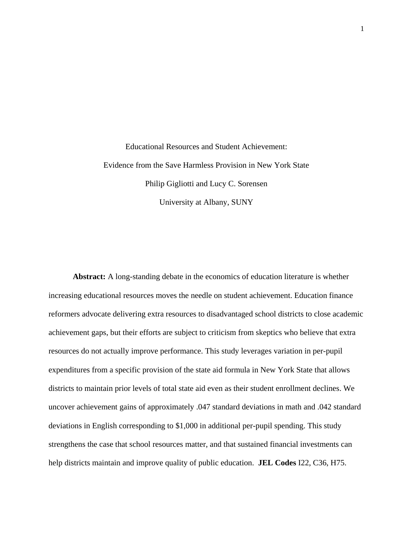Educational Resources and Student Achievement: Evidence from the Save Harmless Provision in New York State Philip Gigliotti and Lucy C. Sorensen University at Albany, SUNY

**Abstract:** A long-standing debate in the economics of education literature is whether increasing educational resources moves the needle on student achievement. Education finance reformers advocate delivering extra resources to disadvantaged school districts to close academic achievement gaps, but their efforts are subject to criticism from skeptics who believe that extra resources do not actually improve performance. This study leverages variation in per-pupil expenditures from a specific provision of the state aid formula in New York State that allows districts to maintain prior levels of total state aid even as their student enrollment declines. We uncover achievement gains of approximately .047 standard deviations in math and .042 standard deviations in English corresponding to \$1,000 in additional per-pupil spending. This study strengthens the case that school resources matter, and that sustained financial investments can help districts maintain and improve quality of public education. **JEL Codes** I22, C36, H75.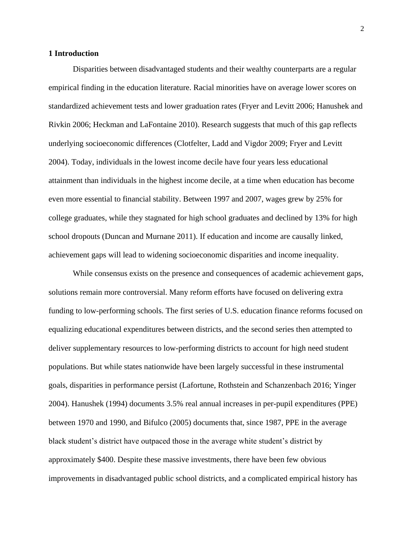## **1 Introduction**

Disparities between disadvantaged students and their wealthy counterparts are a regular empirical finding in the education literature. Racial minorities have on average lower scores on standardized achievement tests and lower graduation rates (Fryer and Levitt 2006; Hanushek and Rivkin 2006; Heckman and LaFontaine 2010). Research suggests that much of this gap reflects underlying socioeconomic differences (Clotfelter, Ladd and Vigdor 2009; Fryer and Levitt 2004). Today, individuals in the lowest income decile have four years less educational attainment than individuals in the highest income decile, at a time when education has become even more essential to financial stability. Between 1997 and 2007, wages grew by 25% for college graduates, while they stagnated for high school graduates and declined by 13% for high school dropouts (Duncan and Murnane 2011). If education and income are causally linked, achievement gaps will lead to widening socioeconomic disparities and income inequality.

While consensus exists on the presence and consequences of academic achievement gaps, solutions remain more controversial. Many reform efforts have focused on delivering extra funding to low-performing schools. The first series of U.S. education finance reforms focused on equalizing educational expenditures between districts, and the second series then attempted to deliver supplementary resources to low-performing districts to account for high need student populations. But while states nationwide have been largely successful in these instrumental goals, disparities in performance persist (Lafortune, Rothstein and Schanzenbach 2016; Yinger 2004). Hanushek (1994) documents 3.5% real annual increases in per-pupil expenditures (PPE) between 1970 and 1990, and Bifulco (2005) documents that, since 1987, PPE in the average black student's district have outpaced those in the average white student's district by approximately \$400. Despite these massive investments, there have been few obvious improvements in disadvantaged public school districts, and a complicated empirical history has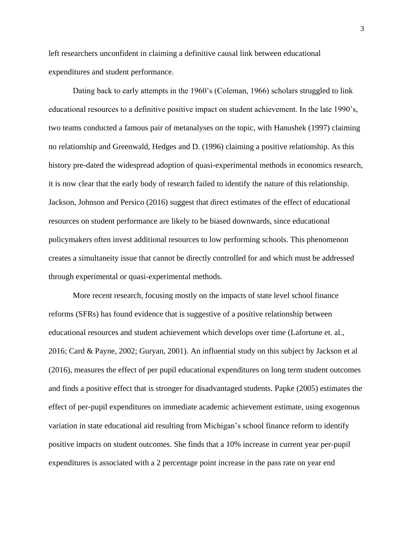left researchers unconfident in claiming a definitive causal link between educational expenditures and student performance.

Dating back to early attempts in the 1960's (Coleman, 1966) scholars struggled to link educational resources to a definitive positive impact on student achievement. In the late 1990's, two teams conducted a famous pair of metanalyses on the topic, with Hanushek (1997) claiming no relationship and Greenwald, Hedges and D. (1996) claiming a positive relationship. As this history pre-dated the widespread adoption of quasi-experimental methods in economics research, it is now clear that the early body of research failed to identify the nature of this relationship. Jackson, Johnson and Persico (2016) suggest that direct estimates of the effect of educational resources on student performance are likely to be biased downwards, since educational policymakers often invest additional resources to low performing schools. This phenomenon creates a simultaneity issue that cannot be directly controlled for and which must be addressed through experimental or quasi-experimental methods.

More recent research, focusing mostly on the impacts of state level school finance reforms (SFRs) has found evidence that is suggestive of a positive relationship between educational resources and student achievement which develops over time (Lafortune et. al., 2016; Card & Payne, 2002; Guryan, 2001). An influential study on this subject by Jackson et al (2016), measures the effect of per pupil educational expenditures on long term student outcomes and finds a positive effect that is stronger for disadvantaged students. Papke (2005) estimates the effect of per-pupil expenditures on immediate academic achievement estimate, using exogenous variation in state educational aid resulting from Michigan's school finance reform to identify positive impacts on student outcomes. She finds that a 10% increase in current year per-pupil expenditures is associated with a 2 percentage point increase in the pass rate on year end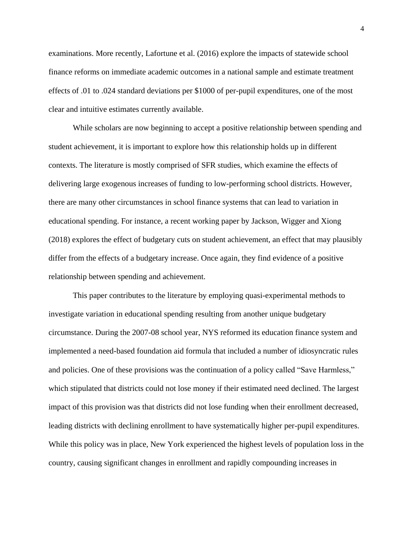examinations. More recently, Lafortune et al. (2016) explore the impacts of statewide school finance reforms on immediate academic outcomes in a national sample and estimate treatment effects of .01 to .024 standard deviations per \$1000 of per-pupil expenditures, one of the most clear and intuitive estimates currently available.

While scholars are now beginning to accept a positive relationship between spending and student achievement, it is important to explore how this relationship holds up in different contexts. The literature is mostly comprised of SFR studies, which examine the effects of delivering large exogenous increases of funding to low-performing school districts. However, there are many other circumstances in school finance systems that can lead to variation in educational spending. For instance, a recent working paper by Jackson, Wigger and Xiong (2018) explores the effect of budgetary cuts on student achievement, an effect that may plausibly differ from the effects of a budgetary increase. Once again, they find evidence of a positive relationship between spending and achievement.

This paper contributes to the literature by employing quasi-experimental methods to investigate variation in educational spending resulting from another unique budgetary circumstance. During the 2007-08 school year, NYS reformed its education finance system and implemented a need-based foundation aid formula that included a number of idiosyncratic rules and policies. One of these provisions was the continuation of a policy called "Save Harmless," which stipulated that districts could not lose money if their estimated need declined. The largest impact of this provision was that districts did not lose funding when their enrollment decreased, leading districts with declining enrollment to have systematically higher per-pupil expenditures. While this policy was in place, New York experienced the highest levels of population loss in the country, causing significant changes in enrollment and rapidly compounding increases in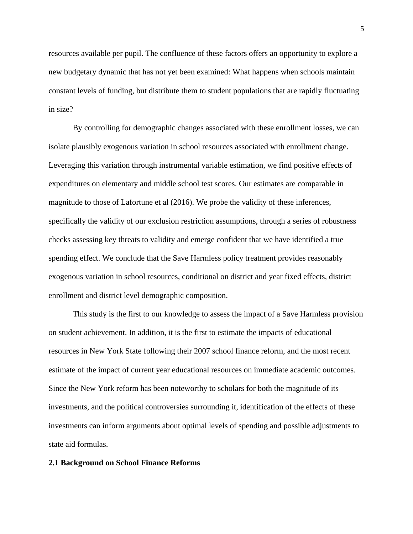resources available per pupil. The confluence of these factors offers an opportunity to explore a new budgetary dynamic that has not yet been examined: What happens when schools maintain constant levels of funding, but distribute them to student populations that are rapidly fluctuating in size?

By controlling for demographic changes associated with these enrollment losses, we can isolate plausibly exogenous variation in school resources associated with enrollment change. Leveraging this variation through instrumental variable estimation, we find positive effects of expenditures on elementary and middle school test scores. Our estimates are comparable in magnitude to those of Lafortune et al (2016). We probe the validity of these inferences, specifically the validity of our exclusion restriction assumptions, through a series of robustness checks assessing key threats to validity and emerge confident that we have identified a true spending effect. We conclude that the Save Harmless policy treatment provides reasonably exogenous variation in school resources, conditional on district and year fixed effects, district enrollment and district level demographic composition.

This study is the first to our knowledge to assess the impact of a Save Harmless provision on student achievement. In addition, it is the first to estimate the impacts of educational resources in New York State following their 2007 school finance reform, and the most recent estimate of the impact of current year educational resources on immediate academic outcomes. Since the New York reform has been noteworthy to scholars for both the magnitude of its investments, and the political controversies surrounding it, identification of the effects of these investments can inform arguments about optimal levels of spending and possible adjustments to state aid formulas.

## **2.1 Background on School Finance Reforms**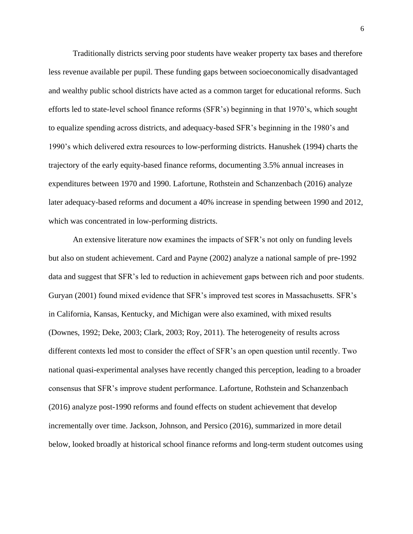Traditionally districts serving poor students have weaker property tax bases and therefore less revenue available per pupil. These funding gaps between socioeconomically disadvantaged and wealthy public school districts have acted as a common target for educational reforms. Such efforts led to state-level school finance reforms (SFR's) beginning in that 1970's, which sought to equalize spending across districts, and adequacy-based SFR's beginning in the 1980's and 1990's which delivered extra resources to low-performing districts. Hanushek (1994) charts the trajectory of the early equity-based finance reforms, documenting 3.5% annual increases in expenditures between 1970 and 1990. Lafortune, Rothstein and Schanzenbach (2016) analyze later adequacy-based reforms and document a 40% increase in spending between 1990 and 2012, which was concentrated in low-performing districts.

An extensive literature now examines the impacts of SFR's not only on funding levels but also on student achievement. Card and Payne (2002) analyze a national sample of pre-1992 data and suggest that SFR's led to reduction in achievement gaps between rich and poor students. Guryan (2001) found mixed evidence that SFR's improved test scores in Massachusetts. SFR's in California, Kansas, Kentucky, and Michigan were also examined, with mixed results (Downes, 1992; Deke, 2003; Clark, 2003; Roy, 2011). The heterogeneity of results across different contexts led most to consider the effect of SFR's an open question until recently. Two national quasi-experimental analyses have recently changed this perception, leading to a broader consensus that SFR's improve student performance. Lafortune, Rothstein and Schanzenbach (2016) analyze post-1990 reforms and found effects on student achievement that develop incrementally over time. Jackson, Johnson, and Persico (2016), summarized in more detail below, looked broadly at historical school finance reforms and long-term student outcomes using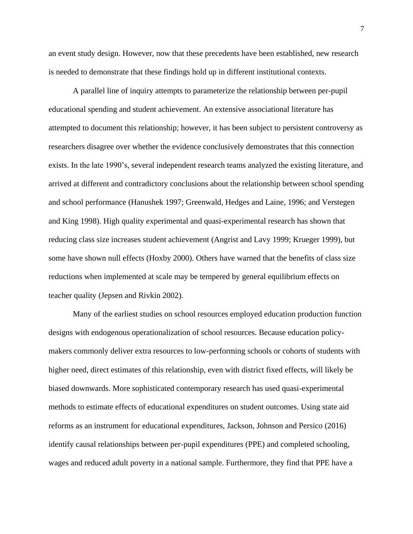an event study design. However, now that these precedents have been established, new research is needed to demonstrate that these findings hold up in different institutional contexts.

A parallel line of inquiry attempts to parameterize the relationship between per-pupil educational spending and student achievement. An extensive associational literature has attempted to document this relationship; however, it has been subject to persistent controversy as researchers disagree over whether the evidence conclusively demonstrates that this connection exists. In the late 1990's, several independent research teams analyzed the existing literature, and arrived at different and contradictory conclusions about the relationship between school spending and school performance (Hanushek 1997; Greenwald, Hedges and Laine, 1996; and Verstegen and King 1998). High quality experimental and quasi-experimental research has shown that reducing class size increases student achievement (Angrist and Lavy 1999; Krueger 1999), but some have shown null effects (Hoxby 2000). Others have warned that the benefits of class size reductions when implemented at scale may be tempered by general equilibrium effects on teacher quality (Jepsen and Rivkin 2002).

Many of the earliest studies on school resources employed education production function designs with endogenous operationalization of school resources. Because education policymakers commonly deliver extra resources to low-performing schools or cohorts of students with higher need, direct estimates of this relationship, even with district fixed effects, will likely be biased downwards. More sophisticated contemporary research has used quasi-experimental methods to estimate effects of educational expenditures on student outcomes. Using state aid reforms as an instrument for educational expenditures, Jackson, Johnson and Persico (2016) identify causal relationships between per-pupil expenditures (PPE) and completed schooling, wages and reduced adult poverty in a national sample. Furthermore, they find that PPE have a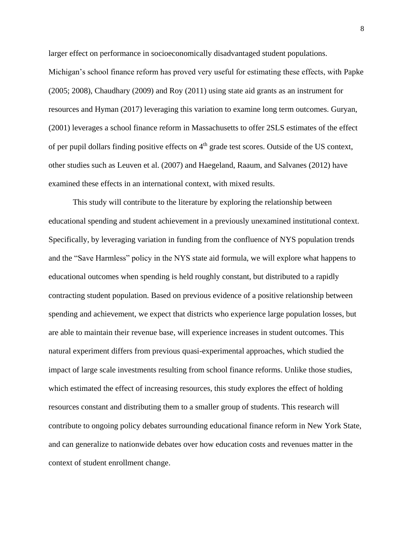larger effect on performance in socioeconomically disadvantaged student populations. Michigan's school finance reform has proved very useful for estimating these effects, with Papke (2005; 2008), Chaudhary (2009) and Roy (2011) using state aid grants as an instrument for resources and Hyman (2017) leveraging this variation to examine long term outcomes. Guryan, (2001) leverages a school finance reform in Massachusetts to offer 2SLS estimates of the effect of per pupil dollars finding positive effects on 4<sup>th</sup> grade test scores. Outside of the US context, other studies such as Leuven et al. (2007) and Haegeland, Raaum, and Salvanes (2012) have examined these effects in an international context, with mixed results.

This study will contribute to the literature by exploring the relationship between educational spending and student achievement in a previously unexamined institutional context. Specifically, by leveraging variation in funding from the confluence of NYS population trends and the "Save Harmless" policy in the NYS state aid formula, we will explore what happens to educational outcomes when spending is held roughly constant, but distributed to a rapidly contracting student population. Based on previous evidence of a positive relationship between spending and achievement, we expect that districts who experience large population losses, but are able to maintain their revenue base, will experience increases in student outcomes. This natural experiment differs from previous quasi-experimental approaches, which studied the impact of large scale investments resulting from school finance reforms. Unlike those studies, which estimated the effect of increasing resources, this study explores the effect of holding resources constant and distributing them to a smaller group of students. This research will contribute to ongoing policy debates surrounding educational finance reform in New York State, and can generalize to nationwide debates over how education costs and revenues matter in the context of student enrollment change.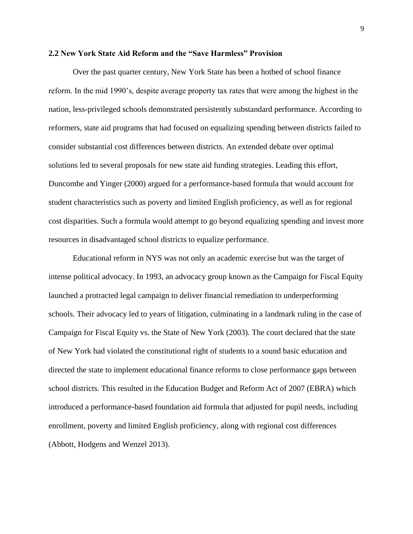#### **2.2 New York State Aid Reform and the "Save Harmless" Provision**

Over the past quarter century, New York State has been a hotbed of school finance reform. In the mid 1990's, despite average property tax rates that were among the highest in the nation, less-privileged schools demonstrated persistently substandard performance. According to reformers, state aid programs that had focused on equalizing spending between districts failed to consider substantial cost differences between districts. An extended debate over optimal solutions led to several proposals for new state aid funding strategies. Leading this effort, Duncombe and Yinger (2000) argued for a performance-based formula that would account for student characteristics such as poverty and limited English proficiency, as well as for regional cost disparities. Such a formula would attempt to go beyond equalizing spending and invest more resources in disadvantaged school districts to equalize performance.

Educational reform in NYS was not only an academic exercise but was the target of intense political advocacy. In 1993, an advocacy group known as the Campaign for Fiscal Equity launched a protracted legal campaign to deliver financial remediation to underperforming schools. Their advocacy led to years of litigation, culminating in a landmark ruling in the case of Campaign for Fiscal Equity vs. the State of New York (2003). The court declared that the state of New York had violated the constitutional right of students to a sound basic education and directed the state to implement educational finance reforms to close performance gaps between school districts. This resulted in the Education Budget and Reform Act of 2007 (EBRA) which introduced a performance-based foundation aid formula that adjusted for pupil needs, including enrollment, poverty and limited English proficiency, along with regional cost differences (Abbott, Hodgens and Wenzel 2013).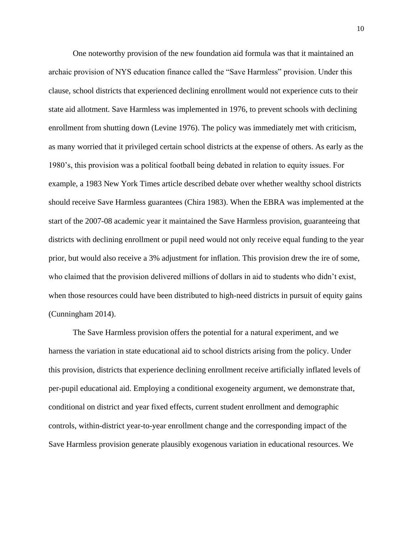One noteworthy provision of the new foundation aid formula was that it maintained an archaic provision of NYS education finance called the "Save Harmless" provision. Under this clause, school districts that experienced declining enrollment would not experience cuts to their state aid allotment. Save Harmless was implemented in 1976, to prevent schools with declining enrollment from shutting down (Levine 1976). The policy was immediately met with criticism, as many worried that it privileged certain school districts at the expense of others. As early as the 1980's, this provision was a political football being debated in relation to equity issues. For example, a 1983 New York Times article described debate over whether wealthy school districts should receive Save Harmless guarantees (Chira 1983). When the EBRA was implemented at the start of the 2007-08 academic year it maintained the Save Harmless provision, guaranteeing that districts with declining enrollment or pupil need would not only receive equal funding to the year prior, but would also receive a 3% adjustment for inflation. This provision drew the ire of some, who claimed that the provision delivered millions of dollars in aid to students who didn't exist, when those resources could have been distributed to high-need districts in pursuit of equity gains (Cunningham 2014).

The Save Harmless provision offers the potential for a natural experiment, and we harness the variation in state educational aid to school districts arising from the policy. Under this provision, districts that experience declining enrollment receive artificially inflated levels of per-pupil educational aid. Employing a conditional exogeneity argument, we demonstrate that, conditional on district and year fixed effects, current student enrollment and demographic controls, within-district year-to-year enrollment change and the corresponding impact of the Save Harmless provision generate plausibly exogenous variation in educational resources. We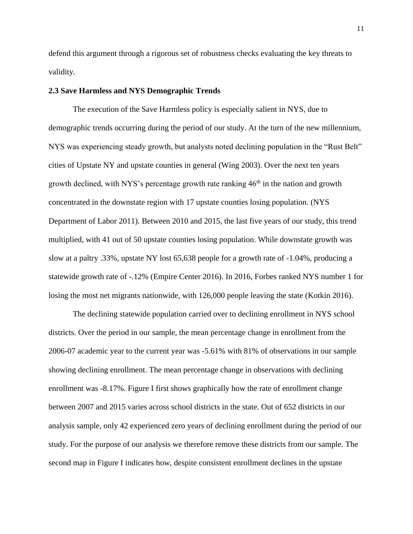defend this argument through a rigorous set of robustness checks evaluating the key threats to validity.

#### **2.3 Save Harmless and NYS Demographic Trends**

The execution of the Save Harmless policy is especially salient in NYS, due to demographic trends occurring during the period of our study. At the turn of the new millennium, NYS was experiencing steady growth, but analysts noted declining population in the "Rust Belt" cities of Upstate NY and upstate counties in general (Wing 2003). Over the next ten years growth declined, with NYS's percentage growth rate ranking  $46<sup>th</sup>$  in the nation and growth concentrated in the downstate region with 17 upstate counties losing population. (NYS Department of Labor 2011). Between 2010 and 2015, the last five years of our study, this trend multiplied, with 41 out of 50 upstate counties losing population. While downstate growth was slow at a paltry .33%, upstate NY lost 65,638 people for a growth rate of -1.04%, producing a statewide growth rate of -.12% (Empire Center 2016). In 2016, Forbes ranked NYS number 1 for losing the most net migrants nationwide, with 126,000 people leaving the state (Kotkin 2016).

The declining statewide population carried over to declining enrollment in NYS school districts. Over the period in our sample, the mean percentage change in enrollment from the 2006-07 academic year to the current year was -5.61% with 81% of observations in our sample showing declining enrollment. The mean percentage change in observations with declining enrollment was -8.17%. Figure I first shows graphically how the rate of enrollment change between 2007 and 2015 varies across school districts in the state. Out of 652 districts in our analysis sample, only 42 experienced zero years of declining enrollment during the period of our study. For the purpose of our analysis we therefore remove these districts from our sample. The second map in Figure I indicates how, despite consistent enrollment declines in the upstate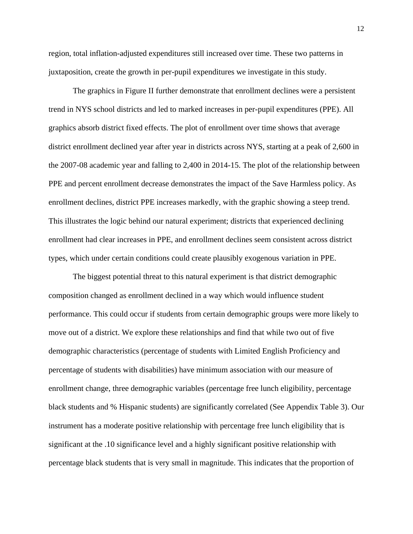region, total inflation-adjusted expenditures still increased over time. These two patterns in juxtaposition, create the growth in per-pupil expenditures we investigate in this study.

The graphics in Figure II further demonstrate that enrollment declines were a persistent trend in NYS school districts and led to marked increases in per-pupil expenditures (PPE). All graphics absorb district fixed effects. The plot of enrollment over time shows that average district enrollment declined year after year in districts across NYS, starting at a peak of 2,600 in the 2007-08 academic year and falling to 2,400 in 2014-15. The plot of the relationship between PPE and percent enrollment decrease demonstrates the impact of the Save Harmless policy. As enrollment declines, district PPE increases markedly, with the graphic showing a steep trend. This illustrates the logic behind our natural experiment; districts that experienced declining enrollment had clear increases in PPE, and enrollment declines seem consistent across district types, which under certain conditions could create plausibly exogenous variation in PPE.

The biggest potential threat to this natural experiment is that district demographic composition changed as enrollment declined in a way which would influence student performance. This could occur if students from certain demographic groups were more likely to move out of a district. We explore these relationships and find that while two out of five demographic characteristics (percentage of students with Limited English Proficiency and percentage of students with disabilities) have minimum association with our measure of enrollment change, three demographic variables (percentage free lunch eligibility, percentage black students and % Hispanic students) are significantly correlated (See Appendix Table 3). Our instrument has a moderate positive relationship with percentage free lunch eligibility that is significant at the .10 significance level and a highly significant positive relationship with percentage black students that is very small in magnitude. This indicates that the proportion of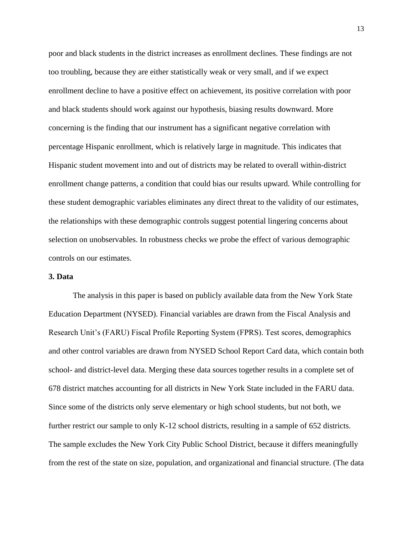poor and black students in the district increases as enrollment declines. These findings are not too troubling, because they are either statistically weak or very small, and if we expect enrollment decline to have a positive effect on achievement, its positive correlation with poor and black students should work against our hypothesis, biasing results downward. More concerning is the finding that our instrument has a significant negative correlation with percentage Hispanic enrollment, which is relatively large in magnitude. This indicates that Hispanic student movement into and out of districts may be related to overall within-district enrollment change patterns, a condition that could bias our results upward. While controlling for these student demographic variables eliminates any direct threat to the validity of our estimates, the relationships with these demographic controls suggest potential lingering concerns about selection on unobservables. In robustness checks we probe the effect of various demographic controls on our estimates.

### **3. Data**

The analysis in this paper is based on publicly available data from the New York State Education Department (NYSED). Financial variables are drawn from the Fiscal Analysis and Research Unit's (FARU) Fiscal Profile Reporting System (FPRS). Test scores, demographics and other control variables are drawn from NYSED School Report Card data, which contain both school- and district-level data. Merging these data sources together results in a complete set of 678 district matches accounting for all districts in New York State included in the FARU data. Since some of the districts only serve elementary or high school students, but not both, we further restrict our sample to only K-12 school districts, resulting in a sample of 652 districts. The sample excludes the New York City Public School District, because it differs meaningfully from the rest of the state on size, population, and organizational and financial structure. (The data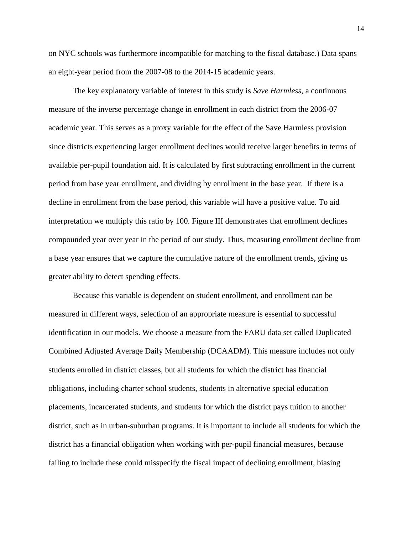on NYC schools was furthermore incompatible for matching to the fiscal database.) Data spans an eight-year period from the 2007-08 to the 2014-15 academic years.

The key explanatory variable of interest in this study is *Save Harmless*, a continuous measure of the inverse percentage change in enrollment in each district from the 2006-07 academic year. This serves as a proxy variable for the effect of the Save Harmless provision since districts experiencing larger enrollment declines would receive larger benefits in terms of available per-pupil foundation aid. It is calculated by first subtracting enrollment in the current period from base year enrollment, and dividing by enrollment in the base year. If there is a decline in enrollment from the base period, this variable will have a positive value. To aid interpretation we multiply this ratio by 100. Figure III demonstrates that enrollment declines compounded year over year in the period of our study. Thus, measuring enrollment decline from a base year ensures that we capture the cumulative nature of the enrollment trends, giving us greater ability to detect spending effects.

Because this variable is dependent on student enrollment, and enrollment can be measured in different ways, selection of an appropriate measure is essential to successful identification in our models. We choose a measure from the FARU data set called Duplicated Combined Adjusted Average Daily Membership (DCAADM). This measure includes not only students enrolled in district classes, but all students for which the district has financial obligations, including charter school students, students in alternative special education placements, incarcerated students, and students for which the district pays tuition to another district, such as in urban-suburban programs. It is important to include all students for which the district has a financial obligation when working with per-pupil financial measures, because failing to include these could misspecify the fiscal impact of declining enrollment, biasing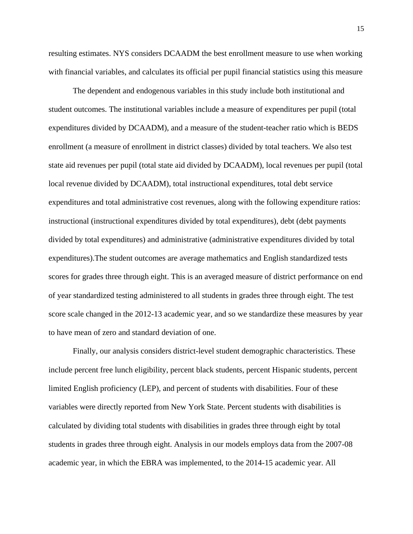resulting estimates. NYS considers DCAADM the best enrollment measure to use when working with financial variables, and calculates its official per pupil financial statistics using this measure

The dependent and endogenous variables in this study include both institutional and student outcomes. The institutional variables include a measure of expenditures per pupil (total expenditures divided by DCAADM), and a measure of the student-teacher ratio which is BEDS enrollment (a measure of enrollment in district classes) divided by total teachers. We also test state aid revenues per pupil (total state aid divided by DCAADM), local revenues per pupil (total local revenue divided by DCAADM), total instructional expenditures, total debt service expenditures and total administrative cost revenues, along with the following expenditure ratios: instructional (instructional expenditures divided by total expenditures), debt (debt payments divided by total expenditures) and administrative (administrative expenditures divided by total expenditures).The student outcomes are average mathematics and English standardized tests scores for grades three through eight. This is an averaged measure of district performance on end of year standardized testing administered to all students in grades three through eight. The test score scale changed in the 2012-13 academic year, and so we standardize these measures by year to have mean of zero and standard deviation of one.

Finally, our analysis considers district-level student demographic characteristics. These include percent free lunch eligibility, percent black students, percent Hispanic students, percent limited English proficiency (LEP), and percent of students with disabilities. Four of these variables were directly reported from New York State. Percent students with disabilities is calculated by dividing total students with disabilities in grades three through eight by total students in grades three through eight. Analysis in our models employs data from the 2007-08 academic year, in which the EBRA was implemented, to the 2014-15 academic year. All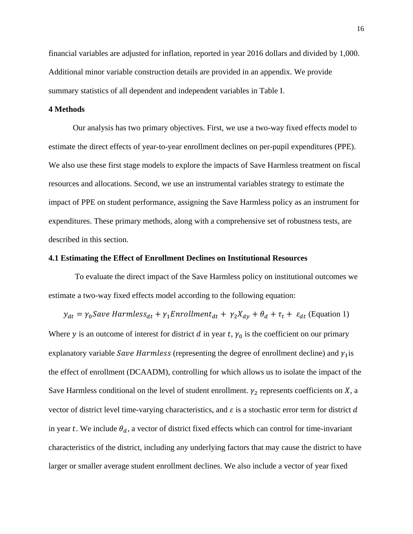financial variables are adjusted for inflation, reported in year 2016 dollars and divided by 1,000. Additional minor variable construction details are provided in an appendix. We provide summary statistics of all dependent and independent variables in Table I.

### **4 Methods**

Our analysis has two primary objectives. First, we use a two-way fixed effects model to estimate the direct effects of year-to-year enrollment declines on per-pupil expenditures (PPE). We also use these first stage models to explore the impacts of Save Harmless treatment on fiscal resources and allocations. Second, we use an instrumental variables strategy to estimate the impact of PPE on student performance, assigning the Save Harmless policy as an instrument for expenditures. These primary methods, along with a comprehensive set of robustness tests, are described in this section.

### **4.1 Estimating the Effect of Enrollment Declines on Institutional Resources**

To evaluate the direct impact of the Save Harmless policy on institutional outcomes we estimate a two-way fixed effects model according to the following equation:

 $y_{dt} = \gamma_0$ Save Harmless<sub>dt</sub> +  $\gamma_1$ Enrollment<sub>dt</sub> +  $\gamma_2 X_{dy} + \theta_d + \tau_t + \varepsilon_{dt}$  (Equation 1)

Where y is an outcome of interest for district d in year t,  $\gamma_0$  is the coefficient on our primary explanatory variable *Save Harmless* (representing the degree of enrollment decline) and  $\gamma_1$  is the effect of enrollment (DCAADM), controlling for which allows us to isolate the impact of the Save Harmless conditional on the level of student enrollment.  $\gamma_2$  represents coefficients on X, a vector of district level time-varying characteristics, and  $\varepsilon$  is a stochastic error term for district d in year t. We include  $\theta_d$ , a vector of district fixed effects which can control for time-invariant characteristics of the district, including any underlying factors that may cause the district to have larger or smaller average student enrollment declines. We also include a vector of year fixed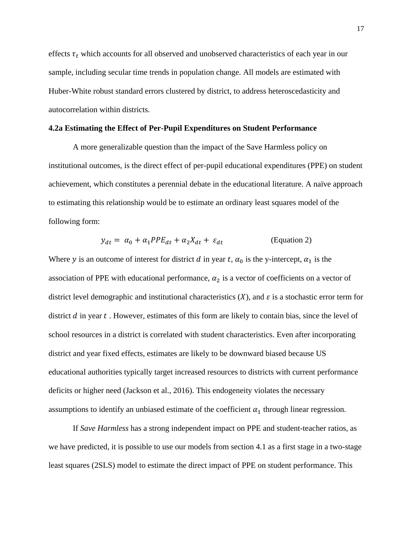effects  $\tau_t$  which accounts for all observed and unobserved characteristics of each year in our sample, including secular time trends in population change. All models are estimated with Huber-White robust standard errors clustered by district, to address heteroscedasticity and autocorrelation within districts.

#### **4.2a Estimating the Effect of Per-Pupil Expenditures on Student Performance**

A more generalizable question than the impact of the Save Harmless policy on institutional outcomes, is the direct effect of per-pupil educational expenditures (PPE) on student achievement, which constitutes a perennial debate in the educational literature. A naïve approach to estimating this relationship would be to estimate an ordinary least squares model of the following form:

$$
y_{dt} = \alpha_0 + \alpha_1 PPE_{dt} + \alpha_2 X_{dt} + \varepsilon_{dt}
$$
 (Equation 2)

Where y is an outcome of interest for district d in year t,  $\alpha_0$  is the y-intercept,  $\alpha_1$  is the association of PPE with educational performance,  $\alpha_2$  is a vector of coefficients on a vector of district level demographic and institutional characteristics  $(X)$ , and  $\varepsilon$  is a stochastic error term for district  $d$  in year  $t$ . However, estimates of this form are likely to contain bias, since the level of school resources in a district is correlated with student characteristics. Even after incorporating district and year fixed effects, estimates are likely to be downward biased because US educational authorities typically target increased resources to districts with current performance deficits or higher need (Jackson et al., 2016). This endogeneity violates the necessary assumptions to identify an unbiased estimate of the coefficient  $\alpha_1$  through linear regression.

If *Save Harmless* has a strong independent impact on PPE and student-teacher ratios, as we have predicted, it is possible to use our models from section 4.1 as a first stage in a two-stage least squares (2SLS) model to estimate the direct impact of PPE on student performance. This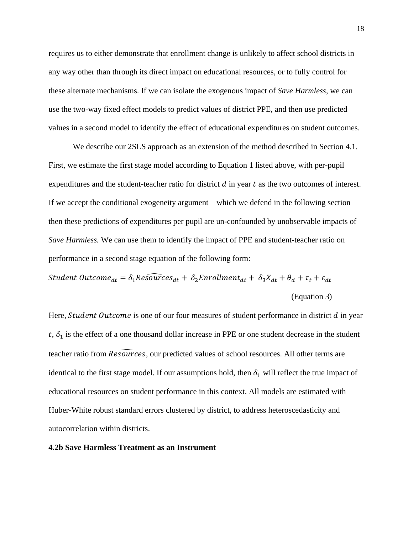requires us to either demonstrate that enrollment change is unlikely to affect school districts in any way other than through its direct impact on educational resources, or to fully control for these alternate mechanisms. If we can isolate the exogenous impact of *Save Harmless*, we can use the two-way fixed effect models to predict values of district PPE, and then use predicted values in a second model to identify the effect of educational expenditures on student outcomes.

We describe our 2SLS approach as an extension of the method described in Section 4.1. First, we estimate the first stage model according to Equation 1 listed above, with per-pupil expenditures and the student-teacher ratio for district  $d$  in year  $t$  as the two outcomes of interest. If we accept the conditional exogeneity argument – which we defend in the following section – then these predictions of expenditures per pupil are un-confounded by unobservable impacts of *Save Harmless.* We can use them to identify the impact of PPE and student-teacher ratio on performance in a second stage equation of the following form:

*Student Outcome<sub>dt</sub>* = 
$$
\delta_1 Resources_{dt} + \delta_2 Enrollment_{dt} + \delta_3 X_{dt} + \theta_d + \tau_t + \varepsilon_{dt}
$$
  
(Equation 3)

Here, Student Outcome is one of our four measures of student performance in district  $d$  in year  $t, \delta_1$  is the effect of a one thousand dollar increase in PPE or one student decrease in the student teacher ratio from  $\widehat{Resour}$ ces, our predicted values of school resources. All other terms are identical to the first stage model. If our assumptions hold, then  $\delta_1$  will reflect the true impact of educational resources on student performance in this context. All models are estimated with Huber-White robust standard errors clustered by district, to address heteroscedasticity and autocorrelation within districts.

#### **4.2b Save Harmless Treatment as an Instrument**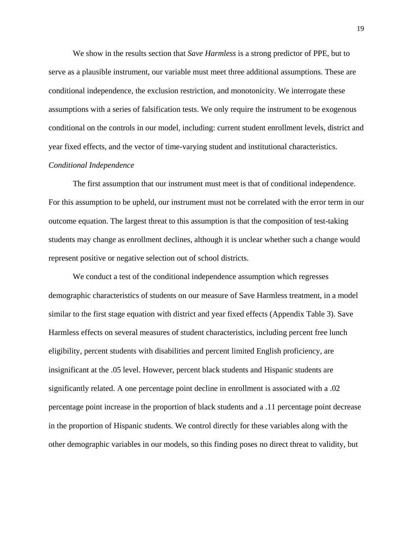We show in the results section that *Save Harmless* is a strong predictor of PPE, but to serve as a plausible instrument, our variable must meet three additional assumptions. These are conditional independence, the exclusion restriction, and monotonicity. We interrogate these assumptions with a series of falsification tests. We only require the instrument to be exogenous conditional on the controls in our model, including: current student enrollment levels, district and year fixed effects, and the vector of time-varying student and institutional characteristics.

## *Conditional Independence*

The first assumption that our instrument must meet is that of conditional independence. For this assumption to be upheld, our instrument must not be correlated with the error term in our outcome equation. The largest threat to this assumption is that the composition of test-taking students may change as enrollment declines, although it is unclear whether such a change would represent positive or negative selection out of school districts.

We conduct a test of the conditional independence assumption which regresses demographic characteristics of students on our measure of Save Harmless treatment, in a model similar to the first stage equation with district and year fixed effects (Appendix Table 3). Save Harmless effects on several measures of student characteristics, including percent free lunch eligibility, percent students with disabilities and percent limited English proficiency, are insignificant at the .05 level. However, percent black students and Hispanic students are significantly related. A one percentage point decline in enrollment is associated with a .02 percentage point increase in the proportion of black students and a .11 percentage point decrease in the proportion of Hispanic students. We control directly for these variables along with the other demographic variables in our models, so this finding poses no direct threat to validity, but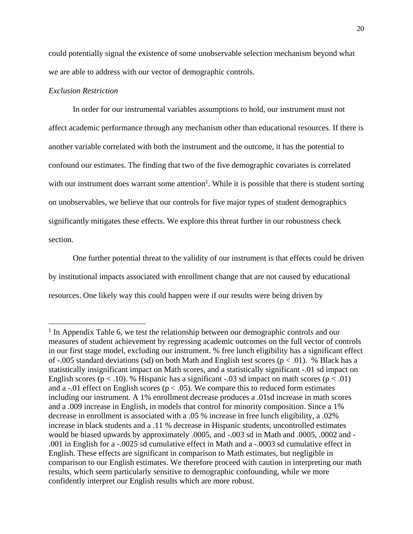could potentially signal the existence of some unobservable selection mechanism beyond what we are able to address with our vector of demographic controls.

## *Exclusion Restriction*

 $\overline{\phantom{a}}$ 

In order for our instrumental variables assumptions to hold, our instrument must not affect academic performance through any mechanism other than educational resources. If there is another variable correlated with both the instrument and the outcome, it has the potential to confound our estimates. The finding that two of the five demographic covariates is correlated with our instrument does warrant some attention<sup>1</sup>. While it is possible that there is student sorting on unobservables, we believe that our controls for five major types of student demographics significantly mitigates these effects. We explore this threat further in our robustness check section.

One further potential threat to the validity of our instrument is that effects could be driven by institutional impacts associated with enrollment change that are not caused by educational resources. One likely way this could happen were if our results were being driven by

<sup>&</sup>lt;sup>1</sup> In Appendix Table 6, we test the relationship between our demographic controls and our measures of student achievement by regressing academic outcomes on the full vector of controls in our first stage model, excluding our instrument. % free lunch eligibility has a significant effect of -.005 standard deviations (sd) on both Math and English test scores ( $p < .01$ ). % Black has a statistically insignificant impact on Math scores, and a statistically significant -.01 sd impact on English scores ( $p < .10$ ). % Hispanic has a significant -.03 sd impact on math scores ( $p < .01$ ) and a -.01 effect on English scores ( $p < .05$ ). We compare this to reduced form estimates including our instrument. A 1% enrollment decrease produces a .01sd increase in math scores and a .009 increase in English, in models that control for minority composition. Since a 1% decrease in enrollment is associated with a .05 % increase in free lunch eligibility, a .02% increase in black students and a .11 % decrease in Hispanic students, uncontrolled estimates would be biased upwards by approximately .0005, and -.003 sd in Math and .0005, .0002 and - .001 in English for a -.0025 sd cumulative effect in Math and a -.0003 sd cumulative effect in English. These effects are significant in comparison to Math estimates, but negligible in comparison to our English estimates. We therefore proceed with caution in interpreting our math results, which seem particularly sensitive to demographic confounding, while we more confidently interpret our English results which are more robust.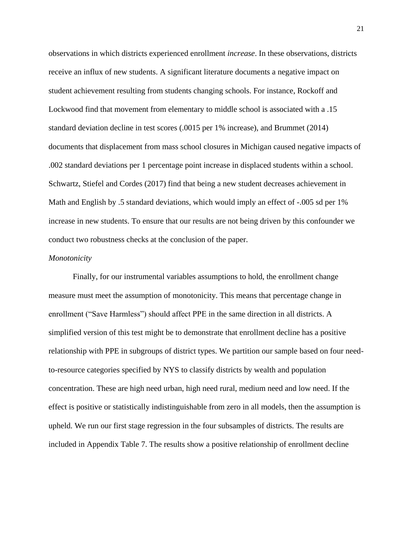observations in which districts experienced enrollment *increase*. In these observations, districts receive an influx of new students. A significant literature documents a negative impact on student achievement resulting from students changing schools. For instance, Rockoff and Lockwood find that movement from elementary to middle school is associated with a .15 standard deviation decline in test scores (.0015 per 1% increase), and Brummet (2014) documents that displacement from mass school closures in Michigan caused negative impacts of .002 standard deviations per 1 percentage point increase in displaced students within a school. Schwartz, Stiefel and Cordes (2017) find that being a new student decreases achievement in Math and English by .5 standard deviations, which would imply an effect of -.005 sd per 1% increase in new students. To ensure that our results are not being driven by this confounder we conduct two robustness checks at the conclusion of the paper.

#### *Monotonicity*

Finally, for our instrumental variables assumptions to hold, the enrollment change measure must meet the assumption of monotonicity. This means that percentage change in enrollment ("Save Harmless") should affect PPE in the same direction in all districts. A simplified version of this test might be to demonstrate that enrollment decline has a positive relationship with PPE in subgroups of district types. We partition our sample based on four needto-resource categories specified by NYS to classify districts by wealth and population concentration. These are high need urban, high need rural, medium need and low need. If the effect is positive or statistically indistinguishable from zero in all models, then the assumption is upheld. We run our first stage regression in the four subsamples of districts. The results are included in Appendix Table 7. The results show a positive relationship of enrollment decline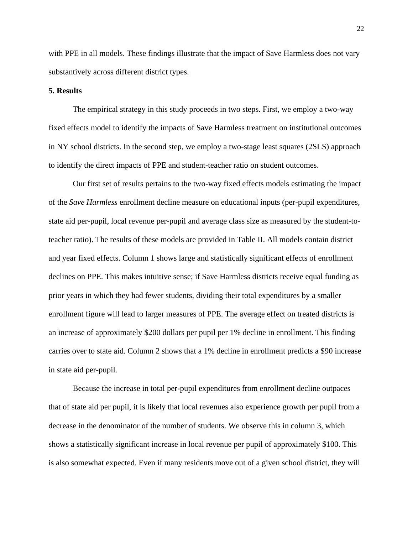with PPE in all models. These findings illustrate that the impact of Save Harmless does not vary substantively across different district types.

## **5. Results**

The empirical strategy in this study proceeds in two steps. First, we employ a two-way fixed effects model to identify the impacts of Save Harmless treatment on institutional outcomes in NY school districts. In the second step, we employ a two-stage least squares (2SLS) approach to identify the direct impacts of PPE and student-teacher ratio on student outcomes.

Our first set of results pertains to the two-way fixed effects models estimating the impact of the *Save Harmless* enrollment decline measure on educational inputs (per-pupil expenditures, state aid per-pupil, local revenue per-pupil and average class size as measured by the student-toteacher ratio). The results of these models are provided in Table II. All models contain district and year fixed effects. Column 1 shows large and statistically significant effects of enrollment declines on PPE. This makes intuitive sense; if Save Harmless districts receive equal funding as prior years in which they had fewer students, dividing their total expenditures by a smaller enrollment figure will lead to larger measures of PPE. The average effect on treated districts is an increase of approximately \$200 dollars per pupil per 1% decline in enrollment. This finding carries over to state aid. Column 2 shows that a 1% decline in enrollment predicts a \$90 increase in state aid per-pupil.

Because the increase in total per-pupil expenditures from enrollment decline outpaces that of state aid per pupil, it is likely that local revenues also experience growth per pupil from a decrease in the denominator of the number of students. We observe this in column 3, which shows a statistically significant increase in local revenue per pupil of approximately \$100. This is also somewhat expected. Even if many residents move out of a given school district, they will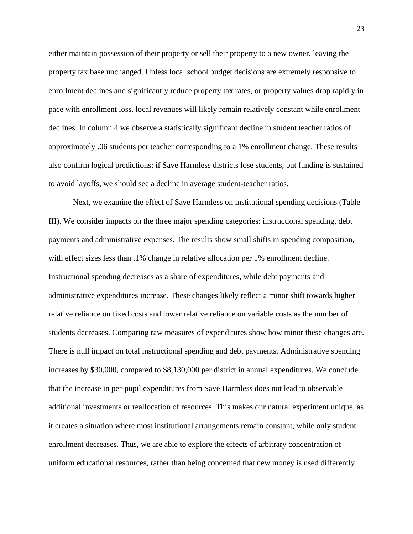either maintain possession of their property or sell their property to a new owner, leaving the property tax base unchanged. Unless local school budget decisions are extremely responsive to enrollment declines and significantly reduce property tax rates, or property values drop rapidly in pace with enrollment loss, local revenues will likely remain relatively constant while enrollment declines. In column 4 we observe a statistically significant decline in student teacher ratios of approximately .06 students per teacher corresponding to a 1% enrollment change. These results also confirm logical predictions; if Save Harmless districts lose students, but funding is sustained to avoid layoffs, we should see a decline in average student-teacher ratios.

Next, we examine the effect of Save Harmless on institutional spending decisions (Table III). We consider impacts on the three major spending categories: instructional spending, debt payments and administrative expenses. The results show small shifts in spending composition, with effect sizes less than .1% change in relative allocation per 1% enrollment decline. Instructional spending decreases as a share of expenditures, while debt payments and administrative expenditures increase. These changes likely reflect a minor shift towards higher relative reliance on fixed costs and lower relative reliance on variable costs as the number of students decreases. Comparing raw measures of expenditures show how minor these changes are. There is null impact on total instructional spending and debt payments. Administrative spending increases by \$30,000, compared to \$8,130,000 per district in annual expenditures. We conclude that the increase in per-pupil expenditures from Save Harmless does not lead to observable additional investments or reallocation of resources. This makes our natural experiment unique, as it creates a situation where most institutional arrangements remain constant, while only student enrollment decreases. Thus, we are able to explore the effects of arbitrary concentration of uniform educational resources, rather than being concerned that new money is used differently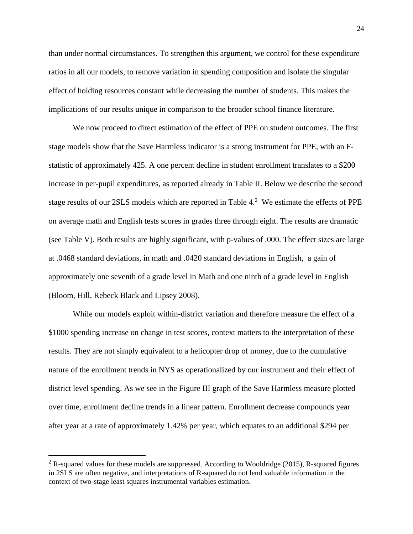than under normal circumstances. To strengthen this argument, we control for these expenditure ratios in all our models, to remove variation in spending composition and isolate the singular effect of holding resources constant while decreasing the number of students. This makes the implications of our results unique in comparison to the broader school finance literature.

We now proceed to direct estimation of the effect of PPE on student outcomes. The first stage models show that the Save Harmless indicator is a strong instrument for PPE, with an Fstatistic of approximately 425. A one percent decline in student enrollment translates to a \$200 increase in per-pupil expenditures, as reported already in Table II. Below we describe the second stage results of our 2SLS models which are reported in Table 4.<sup>2</sup> We estimate the effects of PPE on average math and English tests scores in grades three through eight. The results are dramatic (see Table V). Both results are highly significant, with p-values of .000. The effect sizes are large at .0468 standard deviations, in math and .0420 standard deviations in English, a gain of approximately one seventh of a grade level in Math and one ninth of a grade level in English (Bloom, Hill, Rebeck Black and Lipsey 2008).

While our models exploit within-district variation and therefore measure the effect of a \$1000 spending increase on change in test scores, context matters to the interpretation of these results. They are not simply equivalent to a helicopter drop of money, due to the cumulative nature of the enrollment trends in NYS as operationalized by our instrument and their effect of district level spending. As we see in the Figure III graph of the Save Harmless measure plotted over time, enrollment decline trends in a linear pattern. Enrollment decrease compounds year after year at a rate of approximately 1.42% per year, which equates to an additional \$294 per

l

 $2$  R-squared values for these models are suppressed. According to Wooldridge (2015), R-squared figures in 2SLS are often negative, and interpretations of R-squared do not lend valuable information in the context of two-stage least squares instrumental variables estimation.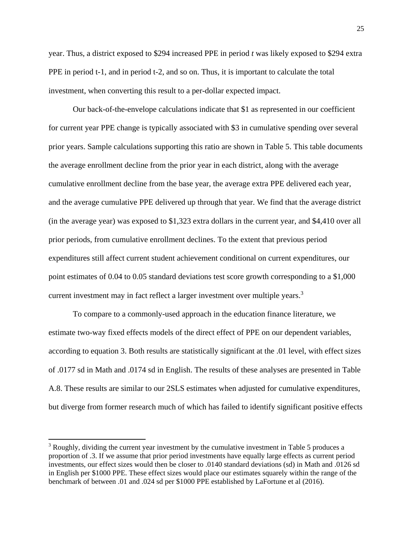year. Thus, a district exposed to \$294 increased PPE in period *t* was likely exposed to \$294 extra PPE in period t-1, and in period t-2, and so on. Thus, it is important to calculate the total investment, when converting this result to a per-dollar expected impact.

Our back-of-the-envelope calculations indicate that \$1 as represented in our coefficient for current year PPE change is typically associated with \$3 in cumulative spending over several prior years. Sample calculations supporting this ratio are shown in Table 5. This table documents the average enrollment decline from the prior year in each district, along with the average cumulative enrollment decline from the base year, the average extra PPE delivered each year, and the average cumulative PPE delivered up through that year. We find that the average district (in the average year) was exposed to \$1,323 extra dollars in the current year, and \$4,410 over all prior periods, from cumulative enrollment declines. To the extent that previous period expenditures still affect current student achievement conditional on current expenditures, our point estimates of 0.04 to 0.05 standard deviations test score growth corresponding to a \$1,000 current investment may in fact reflect a larger investment over multiple years.<sup>3</sup>

To compare to a commonly-used approach in the education finance literature, we estimate two-way fixed effects models of the direct effect of PPE on our dependent variables, according to equation 3. Both results are statistically significant at the .01 level, with effect sizes of .0177 sd in Math and .0174 sd in English. The results of these analyses are presented in Table A.8. These results are similar to our 2SLS estimates when adjusted for cumulative expenditures, but diverge from former research much of which has failed to identify significant positive effects

 $\overline{\phantom{a}}$ 

<sup>&</sup>lt;sup>3</sup> Roughly, dividing the current year investment by the cumulative investment in Table 5 produces a proportion of .3. If we assume that prior period investments have equally large effects as current period investments, our effect sizes would then be closer to .0140 standard deviations (sd) in Math and .0126 sd in English per \$1000 PPE. These effect sizes would place our estimates squarely within the range of the benchmark of between .01 and .024 sd per \$1000 PPE established by LaFortune et al (2016).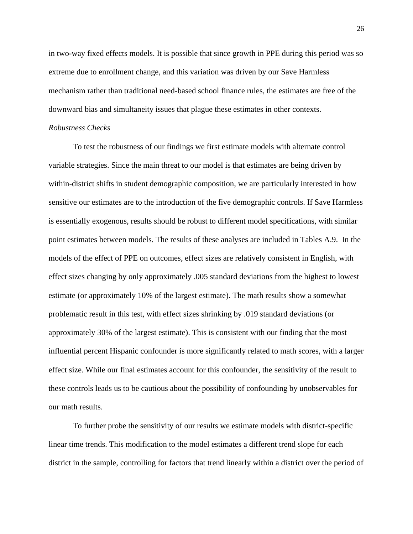in two-way fixed effects models. It is possible that since growth in PPE during this period was so extreme due to enrollment change, and this variation was driven by our Save Harmless mechanism rather than traditional need-based school finance rules, the estimates are free of the downward bias and simultaneity issues that plague these estimates in other contexts.

## *Robustness Checks*

To test the robustness of our findings we first estimate models with alternate control variable strategies. Since the main threat to our model is that estimates are being driven by within-district shifts in student demographic composition, we are particularly interested in how sensitive our estimates are to the introduction of the five demographic controls. If Save Harmless is essentially exogenous, results should be robust to different model specifications, with similar point estimates between models. The results of these analyses are included in Tables A.9. In the models of the effect of PPE on outcomes, effect sizes are relatively consistent in English, with effect sizes changing by only approximately .005 standard deviations from the highest to lowest estimate (or approximately 10% of the largest estimate). The math results show a somewhat problematic result in this test, with effect sizes shrinking by .019 standard deviations (or approximately 30% of the largest estimate). This is consistent with our finding that the most influential percent Hispanic confounder is more significantly related to math scores, with a larger effect size. While our final estimates account for this confounder, the sensitivity of the result to these controls leads us to be cautious about the possibility of confounding by unobservables for our math results.

To further probe the sensitivity of our results we estimate models with district-specific linear time trends. This modification to the model estimates a different trend slope for each district in the sample, controlling for factors that trend linearly within a district over the period of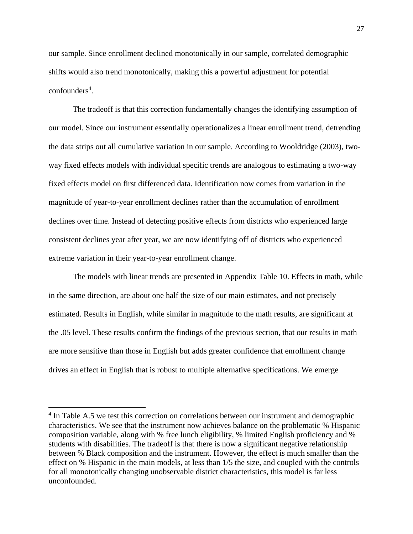our sample. Since enrollment declined monotonically in our sample, correlated demographic shifts would also trend monotonically, making this a powerful adjustment for potential confounders 4 .

The tradeoff is that this correction fundamentally changes the identifying assumption of our model. Since our instrument essentially operationalizes a linear enrollment trend, detrending the data strips out all cumulative variation in our sample. According to Wooldridge (2003), twoway fixed effects models with individual specific trends are analogous to estimating a two-way fixed effects model on first differenced data. Identification now comes from variation in the magnitude of year-to-year enrollment declines rather than the accumulation of enrollment declines over time. Instead of detecting positive effects from districts who experienced large consistent declines year after year, we are now identifying off of districts who experienced extreme variation in their year-to-year enrollment change.

The models with linear trends are presented in Appendix Table 10. Effects in math, while in the same direction, are about one half the size of our main estimates, and not precisely estimated. Results in English, while similar in magnitude to the math results, are significant at the .05 level. These results confirm the findings of the previous section, that our results in math are more sensitive than those in English but adds greater confidence that enrollment change drives an effect in English that is robust to multiple alternative specifications. We emerge

 $\overline{a}$ 

<sup>&</sup>lt;sup>4</sup> In Table A.5 we test this correction on correlations between our instrument and demographic characteristics. We see that the instrument now achieves balance on the problematic % Hispanic composition variable, along with % free lunch eligibility, % limited English proficiency and % students with disabilities. The tradeoff is that there is now a significant negative relationship between % Black composition and the instrument. However, the effect is much smaller than the effect on % Hispanic in the main models, at less than 1/5 the size, and coupled with the controls for all monotonically changing unobservable district characteristics, this model is far less unconfounded.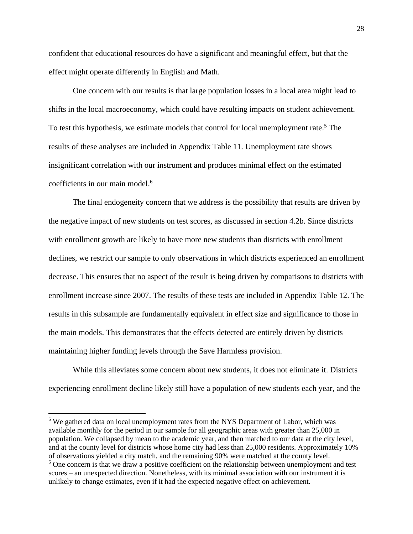confident that educational resources do have a significant and meaningful effect, but that the effect might operate differently in English and Math.

One concern with our results is that large population losses in a local area might lead to shifts in the local macroeconomy, which could have resulting impacts on student achievement. To test this hypothesis, we estimate models that control for local unemployment rate.<sup>5</sup> The results of these analyses are included in Appendix Table 11. Unemployment rate shows insignificant correlation with our instrument and produces minimal effect on the estimated coefficients in our main model.<sup>6</sup>

The final endogeneity concern that we address is the possibility that results are driven by the negative impact of new students on test scores, as discussed in section 4.2b. Since districts with enrollment growth are likely to have more new students than districts with enrollment declines, we restrict our sample to only observations in which districts experienced an enrollment decrease. This ensures that no aspect of the result is being driven by comparisons to districts with enrollment increase since 2007. The results of these tests are included in Appendix Table 12. The results in this subsample are fundamentally equivalent in effect size and significance to those in the main models. This demonstrates that the effects detected are entirely driven by districts maintaining higher funding levels through the Save Harmless provision.

While this alleviates some concern about new students, it does not eliminate it. Districts experiencing enrollment decline likely still have a population of new students each year, and the

 $\overline{\phantom{a}}$ 

<sup>&</sup>lt;sup>5</sup> We gathered data on local unemployment rates from the NYS Department of Labor, which was available monthly for the period in our sample for all geographic areas with greater than 25,000 in population. We collapsed by mean to the academic year, and then matched to our data at the city level, and at the county level for districts whose home city had less than 25,000 residents. Approximately 10% of observations yielded a city match, and the remaining 90% were matched at the county level.  $6$  One concern is that we draw a positive coefficient on the relationship between unemployment and test scores – an unexpected direction. Nonetheless, with its minimal association with our instrument it is unlikely to change estimates, even if it had the expected negative effect on achievement.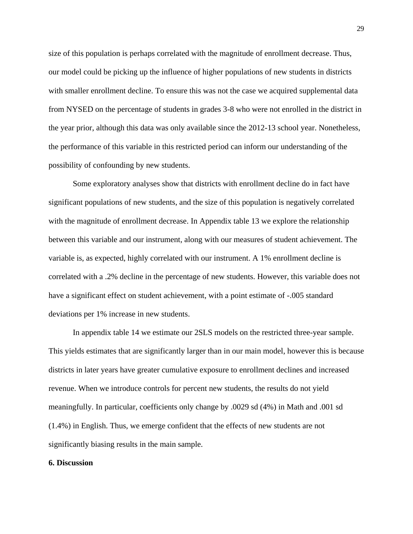size of this population is perhaps correlated with the magnitude of enrollment decrease. Thus, our model could be picking up the influence of higher populations of new students in districts with smaller enrollment decline. To ensure this was not the case we acquired supplemental data from NYSED on the percentage of students in grades 3-8 who were not enrolled in the district in the year prior, although this data was only available since the 2012-13 school year. Nonetheless, the performance of this variable in this restricted period can inform our understanding of the possibility of confounding by new students.

Some exploratory analyses show that districts with enrollment decline do in fact have significant populations of new students, and the size of this population is negatively correlated with the magnitude of enrollment decrease. In Appendix table 13 we explore the relationship between this variable and our instrument, along with our measures of student achievement. The variable is, as expected, highly correlated with our instrument. A 1% enrollment decline is correlated with a .2% decline in the percentage of new students. However, this variable does not have a significant effect on student achievement, with a point estimate of -.005 standard deviations per 1% increase in new students.

In appendix table 14 we estimate our 2SLS models on the restricted three-year sample. This yields estimates that are significantly larger than in our main model, however this is because districts in later years have greater cumulative exposure to enrollment declines and increased revenue. When we introduce controls for percent new students, the results do not yield meaningfully. In particular, coefficients only change by .0029 sd (4%) in Math and .001 sd (1.4%) in English. Thus, we emerge confident that the effects of new students are not significantly biasing results in the main sample.

### **6. Discussion**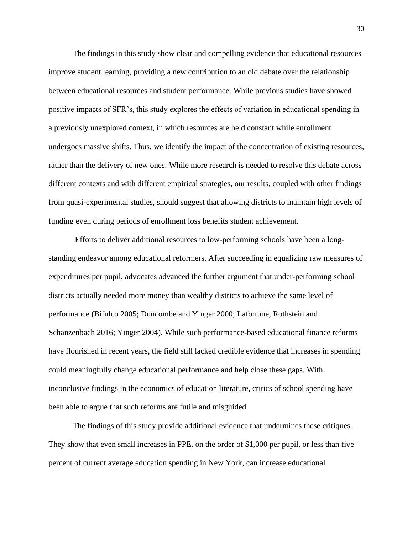The findings in this study show clear and compelling evidence that educational resources improve student learning, providing a new contribution to an old debate over the relationship between educational resources and student performance. While previous studies have showed positive impacts of SFR's, this study explores the effects of variation in educational spending in a previously unexplored context, in which resources are held constant while enrollment undergoes massive shifts. Thus, we identify the impact of the concentration of existing resources, rather than the delivery of new ones. While more research is needed to resolve this debate across different contexts and with different empirical strategies, our results, coupled with other findings from quasi-experimental studies, should suggest that allowing districts to maintain high levels of funding even during periods of enrollment loss benefits student achievement.

Efforts to deliver additional resources to low-performing schools have been a longstanding endeavor among educational reformers. After succeeding in equalizing raw measures of expenditures per pupil, advocates advanced the further argument that under-performing school districts actually needed more money than wealthy districts to achieve the same level of performance (Bifulco 2005; Duncombe and Yinger 2000; Lafortune, Rothstein and Schanzenbach 2016; Yinger 2004). While such performance-based educational finance reforms have flourished in recent years, the field still lacked credible evidence that increases in spending could meaningfully change educational performance and help close these gaps. With inconclusive findings in the economics of education literature, critics of school spending have been able to argue that such reforms are futile and misguided.

The findings of this study provide additional evidence that undermines these critiques. They show that even small increases in PPE, on the order of \$1,000 per pupil, or less than five percent of current average education spending in New York, can increase educational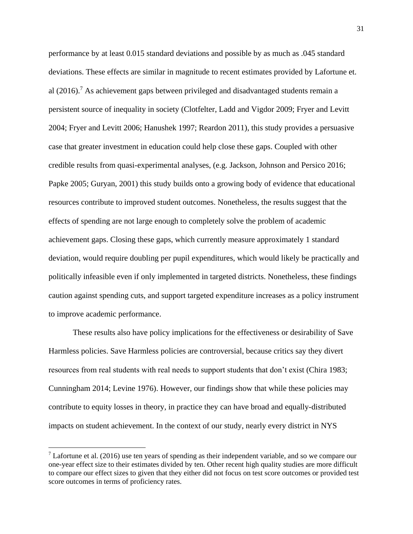performance by at least 0.015 standard deviations and possible by as much as .045 standard deviations. These effects are similar in magnitude to recent estimates provided by Lafortune et. al  $(2016)$ . As achievement gaps between privileged and disadvantaged students remain a persistent source of inequality in society (Clotfelter, Ladd and Vigdor 2009; Fryer and Levitt 2004; Fryer and Levitt 2006; Hanushek 1997; Reardon 2011), this study provides a persuasive case that greater investment in education could help close these gaps. Coupled with other credible results from quasi-experimental analyses, (e.g. Jackson, Johnson and Persico 2016; Papke 2005; Guryan, 2001) this study builds onto a growing body of evidence that educational resources contribute to improved student outcomes. Nonetheless, the results suggest that the effects of spending are not large enough to completely solve the problem of academic achievement gaps. Closing these gaps, which currently measure approximately 1 standard deviation, would require doubling per pupil expenditures, which would likely be practically and politically infeasible even if only implemented in targeted districts. Nonetheless, these findings caution against spending cuts, and support targeted expenditure increases as a policy instrument to improve academic performance.

These results also have policy implications for the effectiveness or desirability of Save Harmless policies. Save Harmless policies are controversial, because critics say they divert resources from real students with real needs to support students that don't exist (Chira 1983; Cunningham 2014; Levine 1976). However, our findings show that while these policies may contribute to equity losses in theory, in practice they can have broad and equally-distributed impacts on student achievement. In the context of our study, nearly every district in NYS

 $\overline{\phantom{a}}$ 

 $<sup>7</sup>$  Lafortune et al. (2016) use ten years of spending as their independent variable, and so we compare our</sup> one-year effect size to their estimates divided by ten. Other recent high quality studies are more difficult to compare our effect sizes to given that they either did not focus on test score outcomes or provided test score outcomes in terms of proficiency rates.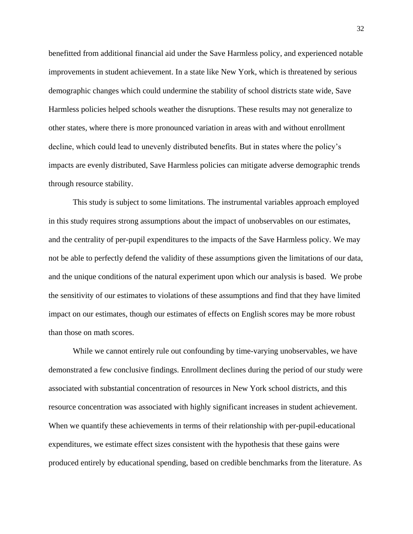benefitted from additional financial aid under the Save Harmless policy, and experienced notable improvements in student achievement. In a state like New York, which is threatened by serious demographic changes which could undermine the stability of school districts state wide, Save Harmless policies helped schools weather the disruptions. These results may not generalize to other states, where there is more pronounced variation in areas with and without enrollment decline, which could lead to unevenly distributed benefits. But in states where the policy's impacts are evenly distributed, Save Harmless policies can mitigate adverse demographic trends through resource stability.

This study is subject to some limitations. The instrumental variables approach employed in this study requires strong assumptions about the impact of unobservables on our estimates, and the centrality of per-pupil expenditures to the impacts of the Save Harmless policy. We may not be able to perfectly defend the validity of these assumptions given the limitations of our data, and the unique conditions of the natural experiment upon which our analysis is based. We probe the sensitivity of our estimates to violations of these assumptions and find that they have limited impact on our estimates, though our estimates of effects on English scores may be more robust than those on math scores.

While we cannot entirely rule out confounding by time-varying unobservables, we have demonstrated a few conclusive findings. Enrollment declines during the period of our study were associated with substantial concentration of resources in New York school districts, and this resource concentration was associated with highly significant increases in student achievement. When we quantify these achievements in terms of their relationship with per-pupil-educational expenditures, we estimate effect sizes consistent with the hypothesis that these gains were produced entirely by educational spending, based on credible benchmarks from the literature. As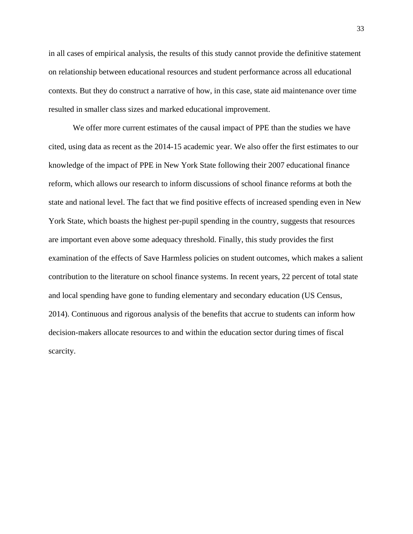in all cases of empirical analysis, the results of this study cannot provide the definitive statement on relationship between educational resources and student performance across all educational contexts. But they do construct a narrative of how, in this case, state aid maintenance over time resulted in smaller class sizes and marked educational improvement.

We offer more current estimates of the causal impact of PPE than the studies we have cited, using data as recent as the 2014-15 academic year. We also offer the first estimates to our knowledge of the impact of PPE in New York State following their 2007 educational finance reform, which allows our research to inform discussions of school finance reforms at both the state and national level. The fact that we find positive effects of increased spending even in New York State, which boasts the highest per-pupil spending in the country, suggests that resources are important even above some adequacy threshold. Finally, this study provides the first examination of the effects of Save Harmless policies on student outcomes, which makes a salient contribution to the literature on school finance systems. In recent years, 22 percent of total state and local spending have gone to funding elementary and secondary education (US Census, 2014). Continuous and rigorous analysis of the benefits that accrue to students can inform how decision-makers allocate resources to and within the education sector during times of fiscal scarcity.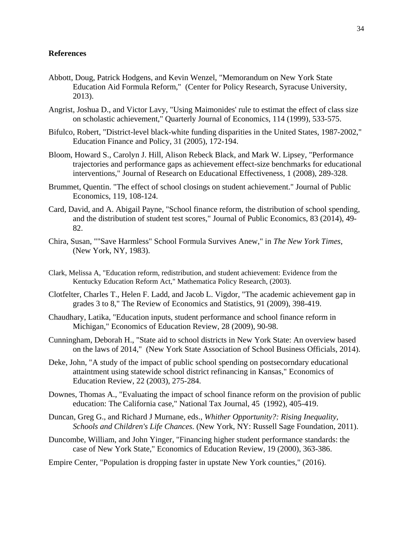## **References**

- Abbott, Doug, Patrick Hodgens, and Kevin Wenzel, "Memorandum on New York State Education Aid Formula Reform," (Center for Policy Research, Syracuse University, 2013).
- Angrist, Joshua D., and Victor Lavy, "Using Maimonides' rule to estimat the effect of class size on scholastic achievement," Quarterly Journal of Economics, 114 (1999), 533-575.
- Bifulco, Robert, "District-level black-white funding disparities in the United States, 1987-2002," Education Finance and Policy, 31 (2005), 172-194.
- Bloom, Howard S., Carolyn J. Hill, Alison Rebeck Black, and Mark W. Lipsey, "Performance trajectories and performance gaps as achievement effect-size benchmarks for educational interventions," Journal of Research on Educational Effectiveness, 1 (2008), 289-328.
- Brummet, Quentin. "The effect of school closings on student achievement." Journal of Public Economics, 119, 108-124.
- Card, David, and A. Abigail Payne, "School finance reform, the distribution of school spending, and the distribution of student test scores," Journal of Public Economics, 83 (2014), 49- 82.
- Chira, Susan, ""Save Harmless" School Formula Survives Anew," in *The New York Times*, (New York, NY, 1983).
- Clark, Melissa A, "Education reform, redistribution, and student achievement: Evidence from the Kentucky Education Reform Act," Mathematica Policy Research, (2003).
- Clotfelter, Charles T., Helen F. Ladd, and Jacob L. Vigdor, "The academic achievement gap in grades 3 to 8," The Review of Economics and Statistics, 91 (2009), 398-419.
- Chaudhary, Latika, "Education inputs, student performance and school finance reform in Michigan," Economics of Education Review, 28 (2009), 90-98.
- Cunningham, Deborah H., "State aid to school districts in New York State: An overview based on the laws of 2014," (New York State Association of School Business Officials, 2014).
- Deke, John, "A study of the impact of public school spending on postsecorndary educational attaintment using statewide school district refinancing in Kansas," Economics of Education Review, 22 (2003), 275-284.
- Downes, Thomas A., "Evaluating the impact of school finance reform on the provision of public education: The California case," National Tax Journal, 45 (1992), 405-419.
- Duncan, Greg G., and Richard J Murnane, eds., *Whither Opportunity?: Rising Inequality, Schools and Children's Life Chances.* (New York, NY: Russell Sage Foundation, 2011).
- Duncombe, William, and John Yinger, "Financing higher student performance standards: the case of New York State," Economics of Education Review, 19 (2000), 363-386.
- Empire Center, "Population is dropping faster in upstate New York counties," (2016).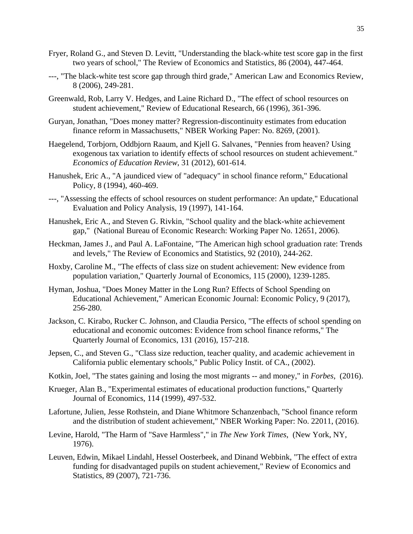- Fryer, Roland G., and Steven D. Levitt, "Understanding the black-white test score gap in the first two years of school," The Review of Economics and Statistics, 86 (2004), 447-464.
- ---, "The black-white test score gap through third grade," American Law and Economics Review, 8 (2006), 249-281.
- Greenwald, Rob, Larry V. Hedges, and Laine Richard D., "The effect of school resources on student achievement," Review of Educational Research, 66 (1996), 361-396.
- Guryan, Jonathan, "Does money matter? Regression-discontinuity estimates from education finance reform in Massachusetts," NBER Working Paper: No. 8269, (2001).
- Haegelend, Torbjorn, Oddbjorn Raaum, and Kjell G. Salvanes, "Pennies from heaven? Using exogenous tax variation to identify effects of school resources on student achievement." *Economics of Education Review*, 31 (2012), 601-614.
- Hanushek, Eric A., "A jaundiced view of "adequacy" in school finance reform," Educational Policy, 8 (1994), 460-469.
- ---, "Assessing the effects of school resources on student performance: An update," Educational Evaluation and Policy Analysis, 19 (1997), 141-164.
- Hanushek, Eric A., and Steven G. Rivkin, "School quality and the black-white achievement gap," (National Bureau of Economic Research: Working Paper No. 12651, 2006).
- Heckman, James J., and Paul A. LaFontaine, "The American high school graduation rate: Trends and levels," The Review of Economics and Statistics, 92 (2010), 244-262.
- Hoxby, Caroline M., "The effects of class size on student achievement: New evidence from population variation," Quarterly Journal of Economics, 115 (2000), 1239-1285.
- Hyman, Joshua, "Does Money Matter in the Long Run? Effects of School Spending on Educational Achievement," American Economic Journal: Economic Policy, 9 (2017), 256-280.
- Jackson, C. Kirabo, Rucker C. Johnson, and Claudia Persico, "The effects of school spending on educational and economic outcomes: Evidence from school finance reforms," The Quarterly Journal of Economics, 131 (2016), 157-218.
- Jepsen, C., and Steven G., "Class size reduction, teacher quality, and academic achievement in California public elementary school*s*," Public Policy Instit. of CA., (2002).
- Kotkin, Joel, "The states gaining and losing the most migrants -- and money," in *Forbes*, (2016).
- Krueger, Alan B., "Experimental estimates of educational production functions," Quarterly Journal of Economics, 114 (1999), 497-532.
- Lafortune, Julien, Jesse Rothstein, and Diane Whitmore Schanzenbach, "School finance reform and the distribution of student achievement," NBER Working Paper: No. 22011, (2016).
- Levine, Harold, "The Harm of "Save Harmless"," in *The New York Times*, (New York, NY, 1976).
- Leuven, Edwin, Mikael Lindahl, Hessel Oosterbeek, and Dinand Webbink, "The effect of extra funding for disadvantaged pupils on student achievement," Review of Economics and Statistics, 89 (2007), 721-736.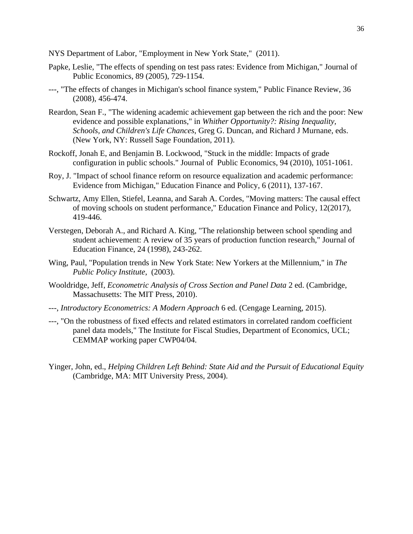NYS Department of Labor, "Employment in New York State," (2011).

- Papke, Leslie, "The effects of spending on test pass rates: Evidence from Michigan," Journal of Public Economics, 89 (2005), 729-1154.
- ---, "The effects of changes in Michigan's school finance system," Public Finance Review, 36 (2008), 456-474.
- Reardon, Sean F., "The widening academic achievement gap between the rich and the poor: New evidence and possible explanations," in *Whither Opportunity?: Rising Inequality, Schools, and Children's Life Chances*, Greg G. Duncan, and Richard J Murnane, eds. (New York, NY: Russell Sage Foundation, 2011).
- Rockoff, Jonah E, and Benjamin B. Lockwood, "Stuck in the middle: Impacts of grade configuration in public schools." Journal of Public Economics, 94 (2010), 1051-1061.
- Roy, J. "Impact of school finance reform on resource equalization and academic performance: Evidence from Michigan," Education Finance and Policy, 6 (2011), 137-167.
- Schwartz, Amy Ellen, Stiefel, Leanna, and Sarah A. Cordes, "Moving matters: The causal effect of moving schools on student performance," Education Finance and Policy, 12(2017), 419-446.
- Verstegen, Deborah A., and Richard A. King, "The relationship between school spending and student achievement: A review of 35 years of production function research," Journal of Education Finance, 24 (1998), 243-262.
- Wing, Paul, "Population trends in New York State: New Yorkers at the Millennium," in *The Public Policy Institute*, (2003).
- Wooldridge, Jeff, *Econometric Analysis of Cross Section and Panel Data* 2 ed. (Cambridge, Massachusetts: The MIT Press, 2010).
- ---, *Introductory Econometrics: A Modern Approach* 6 ed. (Cengage Learning, 2015).
- ---, "On the robustness of fixed effects and related estimators in correlated random coefficient panel data models," The Institute for Fiscal Studies, Department of Economics, UCL; CEMMAP working paper CWP04/04.
- Yinger, John, ed., *Helping Children Left Behind: State Aid and the Pursuit of Educational Equity* (Cambridge, MA: MIT University Press, 2004).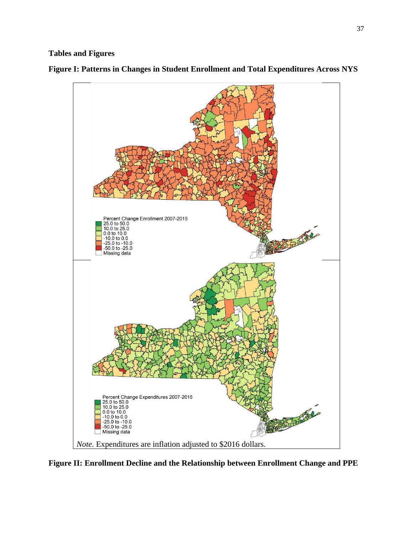# **Tables and Figures**



**Figure I: Patterns in Changes in Student Enrollment and Total Expenditures Across NYS**

**Figure II: Enrollment Decline and the Relationship between Enrollment Change and PPE**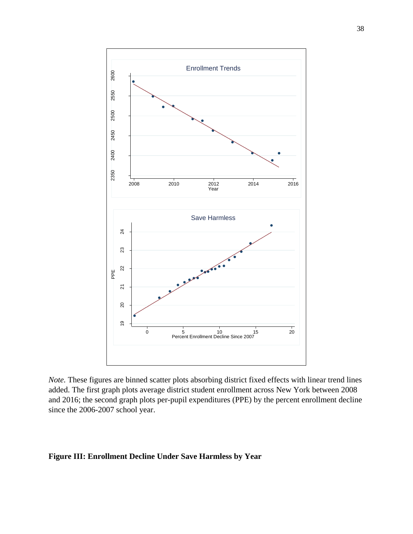

*Note.* These figures are binned scatter plots absorbing district fixed effects with linear trend lines added. The first graph plots average district student enrollment across New York between 2008 and 2016; the second graph plots per-pupil expenditures (PPE) by the percent enrollment decline since the 2006-2007 school year.

# **Figure III: Enrollment Decline Under Save Harmless by Year**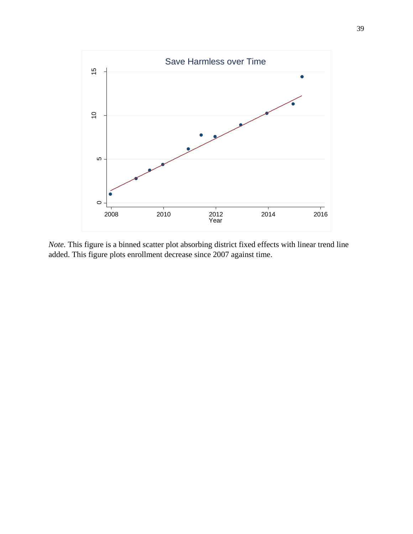

*Note.* This figure is a binned scatter plot absorbing district fixed effects with linear trend line added. This figure plots enrollment decrease since 2007 against time.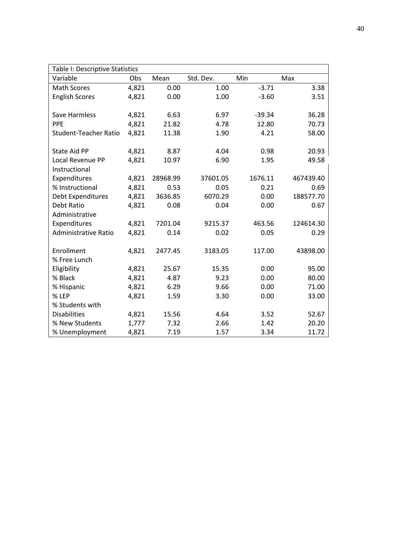| Table I: Descriptive Statistics |       |          |           |          |           |  |  |
|---------------------------------|-------|----------|-----------|----------|-----------|--|--|
| Variable                        | Obs   | Mean     | Std. Dev. | Min      | Max       |  |  |
| <b>Math Scores</b>              | 4,821 | 0.00     | 1.00      | $-3.71$  | 3.38      |  |  |
| <b>English Scores</b>           | 4,821 | 0.00     | 1.00      | $-3.60$  | 3.51      |  |  |
|                                 |       |          |           |          |           |  |  |
| <b>Save Harmless</b>            | 4,821 | 6.63     | 6.97      | $-39.34$ | 36.28     |  |  |
| PPE                             | 4,821 | 21.82    | 4.78      | 12.80    | 70.73     |  |  |
| <b>Student-Teacher Ratio</b>    | 4,821 | 11.38    | 1.90      | 4.21     | 58.00     |  |  |
|                                 |       |          |           |          |           |  |  |
| <b>State Aid PP</b>             | 4,821 | 8.87     | 4.04      | 0.98     | 20.93     |  |  |
| Local Revenue PP                | 4,821 | 10.97    | 6.90      | 1.95     | 49.58     |  |  |
| Instructional                   |       |          |           |          |           |  |  |
| Expenditures                    | 4,821 | 28968.99 | 37601.05  | 1676.11  | 467439.40 |  |  |
| % Instructional                 | 4,821 | 0.53     | 0.05      | 0.21     | 0.69      |  |  |
| Debt Expenditures               | 4,821 | 3636.85  | 6070.29   | 0.00     | 188577.70 |  |  |
| Debt Ratio                      | 4,821 | 0.08     | 0.04      | 0.00     | 0.67      |  |  |
| Administrative                  |       |          |           |          |           |  |  |
| Expenditures                    | 4,821 | 7201.04  | 9215.37   | 463.56   | 124614.30 |  |  |
| <b>Administrative Ratio</b>     | 4,821 | 0.14     | 0.02      | 0.05     | 0.29      |  |  |
|                                 |       |          |           |          |           |  |  |
| Enrollment                      | 4,821 | 2477.45  | 3183.05   | 117.00   | 43898.00  |  |  |
| % Free Lunch                    |       |          |           |          |           |  |  |
| Eligibility                     | 4,821 | 25.67    | 15.35     | 0.00     | 95.00     |  |  |
| % Black                         | 4,821 | 4.87     | 9.23      | 0.00     | 80.00     |  |  |
| % Hispanic                      | 4,821 | 6.29     | 9.66      | 0.00     | 71.00     |  |  |
| % LEP                           | 4,821 | 1.59     | 3.30      | 0.00     | 33.00     |  |  |
| % Students with                 |       |          |           |          |           |  |  |
| <b>Disabilities</b>             | 4,821 | 15.56    | 4.64      | 3.52     | 52.67     |  |  |
| % New Students                  | 1,777 | 7.32     | 2.66      | 1.42     | 20.20     |  |  |
| % Unemployment                  | 4,821 | 7.19     | 1.57      | 3.34     | 11.72     |  |  |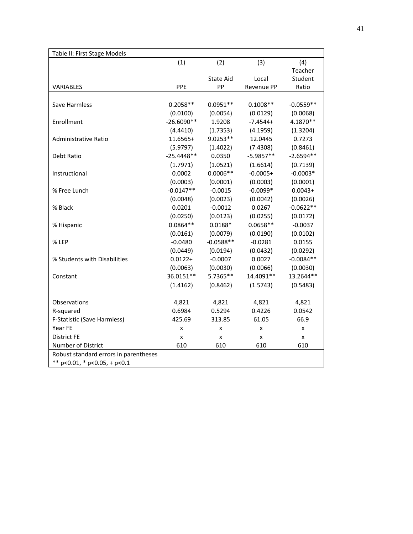| Table II: First Stage Models          |                           |                  |             |             |
|---------------------------------------|---------------------------|------------------|-------------|-------------|
|                                       | (1)                       | (2)              | (3)         | (4)         |
|                                       |                           |                  |             | Teacher     |
|                                       |                           | <b>State Aid</b> | Local       | Student     |
| VARIABLES                             | PPE                       | PP               | Revenue PP  | Ratio       |
|                                       |                           |                  |             |             |
| Save Harmless                         | $0.2058**$                | $0.0951**$       | $0.1008**$  | $-0.0559**$ |
|                                       | (0.0100)                  | (0.0054)         | (0.0129)    | (0.0068)    |
| Enrollment                            | $-26.6090**$              | 1.9208           | $-7.4544+$  | 4.1870**    |
|                                       | (4.4410)                  | (1.7353)         | (4.1959)    | (1.3204)    |
| Administrative Ratio                  | 11.6565+                  | $9.0253**$       | 12.0445     | 0.7273      |
|                                       | (5.9797)                  | (1.4022)         | (7.4308)    | (0.8461)    |
| Debt Ratio                            | $-25.4448**$              | 0.0350           | $-5.9857**$ | $-2.6594**$ |
|                                       | (1.7971)                  | (1.0521)         | (1.6614)    | (0.7139)    |
| Instructional                         | 0.0002                    | $0.0006**$       | $-0.0005+$  | $-0.0003*$  |
|                                       | (0.0003)                  | (0.0001)         | (0.0003)    | (0.0001)    |
| % Free Lunch                          | $-0.0147**$               | $-0.0015$        | $-0.0099*$  | $0.0043+$   |
|                                       | (0.0048)                  | (0.0023)         | (0.0042)    | (0.0026)    |
| % Black                               | 0.0201                    | $-0.0012$        | 0.0267      | $-0.0622**$ |
|                                       | (0.0250)                  | (0.0123)         | (0.0255)    | (0.0172)    |
| % Hispanic                            | $0.0864**$                | $0.0188*$        | $0.0658**$  | $-0.0037$   |
|                                       | (0.0161)                  | (0.0079)         | (0.0190)    | (0.0102)    |
| % LEP                                 | $-0.0480$                 | $-0.0588**$      | $-0.0281$   | 0.0155      |
|                                       | (0.0449)                  | (0.0194)         | (0.0432)    | (0.0292)    |
| % Students with Disabilities          | $0.0122 +$                | $-0.0007$        | 0.0027      | $-0.0084**$ |
|                                       | (0.0063)                  | (0.0030)         | (0.0066)    | (0.0030)    |
| Constant                              | 36.0151**                 | 5.7365**         | 14.4091**   | 13.2644**   |
|                                       | (1.4162)                  | (0.8462)         | (1.5743)    | (0.5483)    |
| Observations                          | 4,821                     | 4,821            | 4,821       | 4,821       |
| R-squared                             | 0.6984                    | 0.5294           | 0.4226      | 0.0542      |
| F-Statistic (Save Harmless)           | 425.69                    | 313.85           | 61.05       | 66.9        |
| Year FE                               | X                         | X                | x           | x           |
| <b>District FE</b>                    | $\boldsymbol{\mathsf{x}}$ | x                | x           | x           |
| Number of District                    | 610                       | 610              | 610         | 610         |
| Robust standard errors in parentheses |                           |                  |             |             |
| ** $p<0.01$ , * $p<0.05$ , + $p<0.1$  |                           |                  |             |             |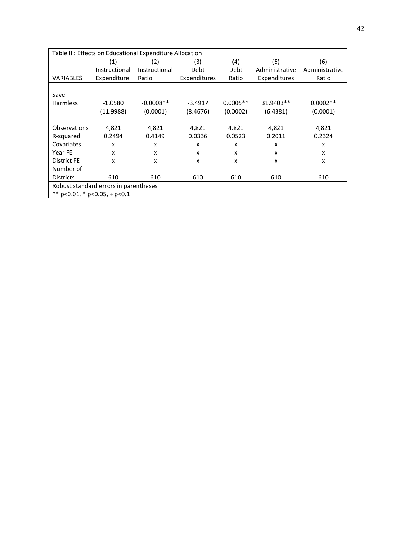| Table III: Effects on Educational Expenditure Allocation |                                       |               |              |            |                |                |  |  |
|----------------------------------------------------------|---------------------------------------|---------------|--------------|------------|----------------|----------------|--|--|
|                                                          | (1)                                   | (2)           | (3)          | (4)        | (5)            | (6)            |  |  |
|                                                          | Instructional                         | Instructional | Debt         | Debt       | Administrative | Administrative |  |  |
| <b>VARIABLES</b>                                         | Expenditure                           | Ratio         | Expenditures | Ratio      | Expenditures   | Ratio          |  |  |
|                                                          |                                       |               |              |            |                |                |  |  |
| Save                                                     |                                       |               |              |            |                |                |  |  |
| <b>Harmless</b>                                          | $-1.0580$                             | $-0.0008**$   | $-3.4917$    | $0.0005**$ | 31.9403**      | $0.0002**$     |  |  |
|                                                          | (11.9988)                             | (0.0001)      | (8.4676)     | (0.0002)   | (6.4381)       | (0.0001)       |  |  |
|                                                          |                                       |               |              |            |                |                |  |  |
| Observations                                             | 4,821                                 | 4,821         | 4,821        | 4,821      | 4,821          | 4,821          |  |  |
| R-squared                                                | 0.2494                                | 0.4149        | 0.0336       | 0.0523     | 0.2011         | 0.2324         |  |  |
| Covariates                                               | X                                     | X             | X            | X          | X              | x              |  |  |
| Year FE                                                  | x                                     | x             | X            | X          | x              | x              |  |  |
| District FE                                              | x                                     | x             | X            | x          | X              | x              |  |  |
| Number of                                                |                                       |               |              |            |                |                |  |  |
| <b>Districts</b>                                         | 610                                   | 610           | 610          | 610        | 610            | 610            |  |  |
|                                                          | Robust standard errors in parentheses |               |              |            |                |                |  |  |
|                                                          | ** $p<0.01$ , * $p<0.05$ , + $p<0.1$  |               |              |            |                |                |  |  |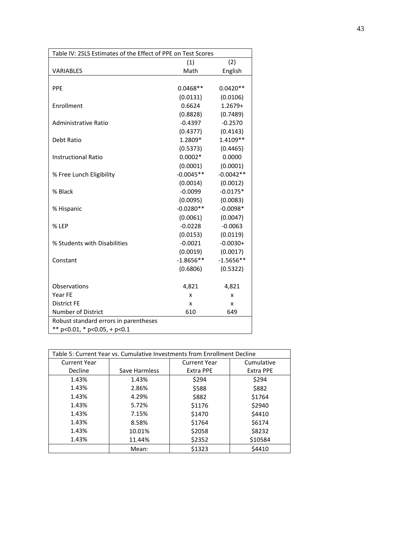| Table IV: 2SLS Estimates of the Effect of PPE on Test Scores |             |             |  |  |
|--------------------------------------------------------------|-------------|-------------|--|--|
|                                                              | (1)         | (2)         |  |  |
| VARIABLES                                                    | Math        | English     |  |  |
|                                                              |             |             |  |  |
| PPE                                                          | $0.0468**$  | $0.0420**$  |  |  |
|                                                              | (0.0131)    | (0.0106)    |  |  |
| Enrollment                                                   | 0.6624      | $1.2679+$   |  |  |
|                                                              | (0.8828)    | (0.7489)    |  |  |
| Administrative Ratio                                         | $-0.4397$   | $-0.2570$   |  |  |
|                                                              | (0.4377)    | (0.4143)    |  |  |
| Debt Ratio                                                   | 1.2809*     | 1.4109**    |  |  |
|                                                              | (0.5373)    | (0.4465)    |  |  |
| <b>Instructional Ratio</b>                                   | $0.0002*$   | 0.0000      |  |  |
|                                                              | (0.0001)    | (0.0001)    |  |  |
| % Free Lunch Eligibility                                     | $-0.0045**$ | $-0.0042**$ |  |  |
|                                                              | (0.0014)    | (0.0012)    |  |  |
| % Black                                                      | $-0.0099$   | $-0.0175*$  |  |  |
|                                                              | (0.0095)    | (0.0083)    |  |  |
| % Hispanic                                                   | $-0.0280**$ | $-0.0098*$  |  |  |
|                                                              | (0.0061)    | (0.0047)    |  |  |
| % LEP                                                        | $-0.0228$   | $-0.0063$   |  |  |
|                                                              | (0.0153)    | (0.0119)    |  |  |
| % Students with Disabilities                                 | $-0.0021$   | $-0.0030+$  |  |  |
|                                                              | (0.0019)    | (0.0017)    |  |  |
| Constant                                                     | $-1.8656**$ | $-1.5656**$ |  |  |
|                                                              | (0.6806)    | (0.5322)    |  |  |
| Observations                                                 | 4,821       | 4,821       |  |  |
| Year FE                                                      | X           | X           |  |  |
| <b>District FE</b>                                           | X           | X           |  |  |
| <b>Number of District</b>                                    | 610         | 649         |  |  |
| Robust standard errors in parentheses                        |             |             |  |  |
| ** $p<0.01$ , * $p<0.05$ , + $p<0.1$                         |             |             |  |  |

| Table 5: Current Year vs. Cumulative Investments from Enrollment Decline |               |                     |                  |  |  |  |
|--------------------------------------------------------------------------|---------------|---------------------|------------------|--|--|--|
| <b>Current Year</b>                                                      |               | <b>Current Year</b> | Cumulative       |  |  |  |
| Decline                                                                  | Save Harmless | <b>Extra PPE</b>    | <b>Extra PPE</b> |  |  |  |
| 1.43%                                                                    | 1.43%         | \$294               | \$294            |  |  |  |
| 1.43%                                                                    | 2.86%         | \$588               | \$882            |  |  |  |
| 1.43%                                                                    | 4.29%         | \$882               | \$1764           |  |  |  |
| 1.43%                                                                    | 5.72%         | \$1176              | \$2940           |  |  |  |
| 1.43%                                                                    | 7.15%         | \$1470              | \$4410           |  |  |  |
| 1.43%                                                                    | 8.58%         | \$1764              | \$6174           |  |  |  |
| 1.43%                                                                    | 10.01%        | \$2058              | \$8232           |  |  |  |
| 1.43%                                                                    | 11.44%        | \$2352              | \$10584          |  |  |  |
|                                                                          | Mean:         | \$1323              | \$4410           |  |  |  |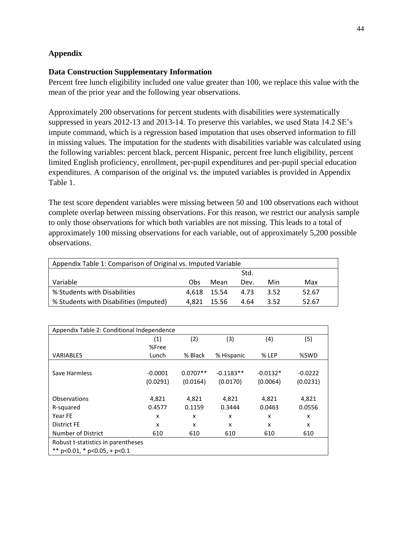# **Appendix**

# **Data Construction Supplementary Information**

Percent free lunch eligibility included one value greater than 100, we replace this value with the mean of the prior year and the following year observations.

Approximately 200 observations for percent students with disabilities were systematically suppressed in years 2012-13 and 2013-14. To preserve this variables, we used Stata 14.2 SE's impute command, which is a regression based imputation that uses observed information to fill in missing values. The imputation for the students with disabilities variable was calculated using the following variables: percent black, percent Hispanic, percent free lunch eligibility, percent limited English proficiency, enrollment, per-pupil expenditures and per-pupil special education expenditures. A comparison of the original vs. the imputed variables is provided in Appendix Table 1.

The test score dependent variables were missing between 50 and 100 observations each without complete overlap between missing observations. For this reason, we restrict our analysis sample to only those observations for which both variables are not missing. This leads to a total of approximately 100 missing observations for each variable, out of approximately 5,200 possible observations.

| Appendix Table 1: Comparison of Original vs. Imputed Variable |      |             |      |      |       |  |
|---------------------------------------------------------------|------|-------------|------|------|-------|--|
|                                                               | Std. |             |      |      |       |  |
| Variable                                                      | Obs. | Mean        | Dev. | Min  | Max   |  |
| % Students with Disabilities                                  |      | 4.618 15.54 | 4.73 | 3.52 | 52.67 |  |
| % Students with Disabilities (Imputed)                        |      | 4.821 15.56 | 4.64 | 3.52 | 52.67 |  |

| Appendix Table 2: Conditional Independence |           |            |             |            |           |  |
|--------------------------------------------|-----------|------------|-------------|------------|-----------|--|
|                                            | (1)       | (2)        | (3)         | (4)        | (5)       |  |
|                                            | %Free     |            |             |            |           |  |
| VARIABLES                                  | Lunch     | % Black    | % Hispanic  | % LEP      | %SWD      |  |
|                                            |           |            |             |            |           |  |
| Save Harmless                              | $-0.0001$ | $0.0707**$ | $-0.1183**$ | $-0.0132*$ | $-0.0222$ |  |
|                                            | (0.0291)  | (0.0164)   | (0.0170)    | (0.0064)   | (0.0231)  |  |
|                                            |           |            |             |            |           |  |
| Observations                               | 4,821     | 4,821      | 4,821       | 4,821      | 4,821     |  |
| R-squared                                  | 0.4577    | 0.1159     | 0.3444      | 0.0463     | 0.0556    |  |
| Year FE                                    | x         | x          | x           | x          | x         |  |
| <b>District FE</b>                         | x         | x          | x           | x          | x         |  |
| Number of District                         | 610       | 610        | 610         | 610        | 610       |  |
| Robust t-statistics in parentheses         |           |            |             |            |           |  |
| ** $p<0.01$ , * $p<0.05$ , + $p<0.1$       |           |            |             |            |           |  |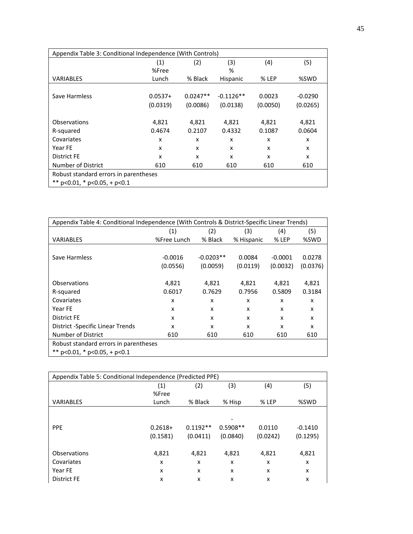| Appendix Table 3: Conditional Independence (With Controls) |           |            |             |          |           |
|------------------------------------------------------------|-----------|------------|-------------|----------|-----------|
|                                                            | (1)       | (2)        | (3)         | (4)      | (5)       |
|                                                            | %Free     |            | %           |          |           |
| <b>VARIABLES</b>                                           | Lunch     | % Black    | Hispanic    | % LEP    | %SWD      |
|                                                            |           |            |             |          |           |
| Save Harmless                                              | $0.0537+$ | $0.0247**$ | $-0.1126**$ | 0.0023   | $-0.0290$ |
|                                                            | (0.0319)  | (0.0086)   | (0.0138)    | (0.0050) | (0.0265)  |
|                                                            |           |            |             |          |           |
| Observations                                               | 4,821     | 4,821      | 4,821       | 4,821    | 4,821     |
| R-squared                                                  | 0.4674    | 0.2107     | 0.4332      | 0.1087   | 0.0604    |
| Covariates                                                 | x         | x          | x           | x        | x         |
| Year FE                                                    | x         | x          | x           | x        | x         |
| <b>District FE</b>                                         | x         | x          | x           | x        | x         |
| Number of District                                         | 610       | 610        | 610         | 610      | 610       |
| Robust standard errors in parentheses                      |           |            |             |          |           |
| ** $p<0.01$ , * $p<0.05$ , + $p<0.1$                       |           |            |             |          |           |

| Appendix Table 4: Conditional Independence (With Controls & District-Specific Linear Trends) |             |             |            |           |          |
|----------------------------------------------------------------------------------------------|-------------|-------------|------------|-----------|----------|
|                                                                                              | (1)         | (2)         | (3)        | (4)       | (5)      |
| <b>VARIABLES</b>                                                                             | %Free Lunch | % Black     | % Hispanic | % LEP     | %SWD     |
|                                                                                              |             |             |            |           |          |
| Save Harmless                                                                                | $-0.0016$   | $-0.0203**$ | 0.0084     | $-0.0001$ | 0.0278   |
|                                                                                              | (0.0556)    | (0.0059)    | (0.0119)   | (0.0032)  | (0.0376) |
|                                                                                              |             |             |            |           |          |
| Observations                                                                                 | 4,821       | 4,821       | 4,821      | 4,821     | 4,821    |
| R-squared                                                                                    | 0.6017      | 0.7629      | 0.7956     | 0.5809    | 0.3184   |
| Covariates                                                                                   | x           | x           | X          | x         | X        |
| Year FE                                                                                      | x           | x           | x          | x         | x        |
| District FE                                                                                  | x           | x           | X          | x         | X        |
| <b>District -Specific Linear Trends</b>                                                      | x           | x           | X          | x         | x        |
| Number of District                                                                           | 610         | 610         | 610        | 610       | 610      |
| Robust standard errors in parentheses                                                        |             |             |            |           |          |
| ** $p<0.01$ , * $p<0.05$ , + $p<0.1$                                                         |             |             |            |           |          |

| Appendix Table 5: Conditional Independence (Predicted PPE) |           |            |            |          |           |  |
|------------------------------------------------------------|-----------|------------|------------|----------|-----------|--|
|                                                            | (1)       | (2)        | (3)        | (4)      | (5)       |  |
|                                                            | %Free     |            |            |          |           |  |
| <b>VARIABLES</b>                                           | Lunch     | % Black    | % Hisp     | % LEP    | %SWD      |  |
|                                                            |           |            |            |          |           |  |
|                                                            |           |            |            |          |           |  |
| PPE                                                        | $0.2618+$ | $0.1192**$ | $0.5908**$ | 0.0110   | $-0.1410$ |  |
|                                                            | (0.1581)  | (0.0411)   | (0.0840)   | (0.0242) | (0.1295)  |  |
|                                                            |           |            |            |          |           |  |
| Observations                                               | 4,821     | 4,821      | 4,821      | 4,821    | 4,821     |  |
| Covariates                                                 | x         | x          | x          | x        | x         |  |
| Year FE                                                    | X         | X          | X          | x        | x         |  |
| <b>District FE</b>                                         | X         | X          | x          | x        | X         |  |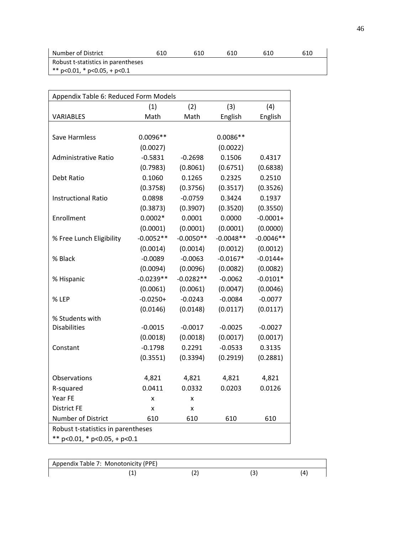| Number of District                   | 610 | 610 | 610 | 610 | 610 |
|--------------------------------------|-----|-----|-----|-----|-----|
| Robust t-statistics in parentheses   |     |     |     |     |     |
| ** $p<0.01$ , * $p<0.05$ , + $p<0.1$ |     |     |     |     |     |

| Appendix Table 6: Reduced Form Models |             |             |             |             |  |  |  |
|---------------------------------------|-------------|-------------|-------------|-------------|--|--|--|
|                                       | (1)         | (2)         | (3)         | (4)         |  |  |  |
| VARIABLES                             | Math        | Math        | English     | English     |  |  |  |
|                                       |             |             |             |             |  |  |  |
| Save Harmless                         | $0.0096**$  |             | $0.0086**$  |             |  |  |  |
|                                       | (0.0027)    |             | (0.0022)    |             |  |  |  |
| <b>Administrative Ratio</b>           | $-0.5831$   | $-0.2698$   | 0.1506      | 0.4317      |  |  |  |
|                                       | (0.7983)    | (0.8061)    | (0.6751)    | (0.6838)    |  |  |  |
| Debt Ratio                            | 0.1060      | 0.1265      | 0.2325      | 0.2510      |  |  |  |
|                                       | (0.3758)    | (0.3756)    | (0.3517)    | (0.3526)    |  |  |  |
| <b>Instructional Ratio</b>            | 0.0898      | $-0.0759$   | 0.3424      | 0.1937      |  |  |  |
|                                       | (0.3873)    | (0.3907)    | (0.3520)    | (0.3550)    |  |  |  |
| Enrollment                            | $0.0002*$   | 0.0001      | 0.0000      | $-0.0001+$  |  |  |  |
|                                       | (0.0001)    | (0.0001)    | (0.0001)    | (0.0000)    |  |  |  |
| % Free Lunch Eligibility              | $-0.0052**$ | $-0.0050**$ | $-0.0048**$ | $-0.0046**$ |  |  |  |
|                                       | (0.0014)    | (0.0014)    | (0.0012)    | (0.0012)    |  |  |  |
| % Black                               | $-0.0089$   | $-0.0063$   | $-0.0167*$  | $-0.0144+$  |  |  |  |
|                                       | (0.0094)    | (0.0096)    | (0.0082)    | (0.0082)    |  |  |  |
| % Hispanic                            | $-0.0239**$ | $-0.0282**$ | $-0.0062$   | $-0.0101*$  |  |  |  |
|                                       | (0.0061)    | (0.0061)    | (0.0047)    | (0.0046)    |  |  |  |
| % LEP                                 | $-0.0250+$  | $-0.0243$   | $-0.0084$   | $-0.0077$   |  |  |  |
|                                       | (0.0146)    | (0.0148)    | (0.0117)    | (0.0117)    |  |  |  |
| % Students with                       |             |             |             |             |  |  |  |
| <b>Disabilities</b>                   | $-0.0015$   | $-0.0017$   | $-0.0025$   | $-0.0027$   |  |  |  |
|                                       | (0.0018)    | (0.0018)    | (0.0017)    | (0.0017)    |  |  |  |
| Constant                              | $-0.1798$   | 0.2291      | $-0.0533$   | 0.3135      |  |  |  |
|                                       | (0.3551)    | (0.3394)    | (0.2919)    | (0.2881)    |  |  |  |
|                                       |             |             |             |             |  |  |  |
| Observations                          | 4,821       | 4,821       | 4,821       | 4,821       |  |  |  |
| R-squared                             | 0.0411      | 0.0332      | 0.0203      | 0.0126      |  |  |  |
| Year FE                               | x           | x           |             |             |  |  |  |
| <b>District FE</b>                    | X           | Χ           |             |             |  |  |  |
| Number of District                    | 610         | 610         | 610         | 610         |  |  |  |
| Robust t-statistics in parentheses    |             |             |             |             |  |  |  |
| ** $p<0.01$ , * $p<0.05$ , + $p<0.1$  |             |             |             |             |  |  |  |

| Appendix Table 7: Monotonicity (PPE) |   |  |
|--------------------------------------|---|--|
|                                      | - |  |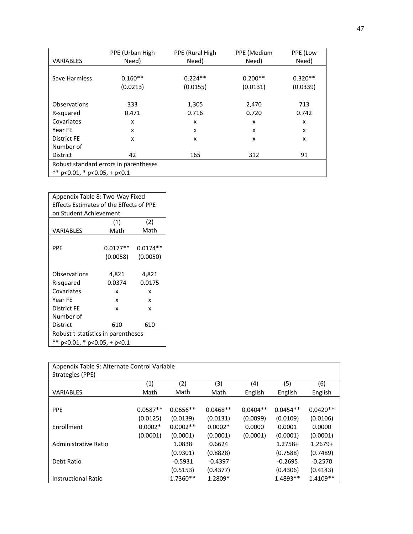|                                      | PPE (Urban High                       | PPE (Rural High) | PPE (Medium | PPE (Low  |
|--------------------------------------|---------------------------------------|------------------|-------------|-----------|
| <b>VARIABLES</b>                     | Need)                                 | Need)            | Need)       | Need)     |
|                                      |                                       |                  |             |           |
| Save Harmless                        | $0.160**$                             | $0.224**$        | $0.200**$   | $0.320**$ |
|                                      | (0.0213)                              | (0.0155)         | (0.0131)    | (0.0339)  |
|                                      |                                       |                  |             |           |
| Observations                         | 333                                   | 1,305            | 2,470       | 713       |
| R-squared                            | 0.471                                 | 0.716            | 0.720       | 0.742     |
| Covariates                           | X                                     | x                | x           | x         |
| Year FE                              | x                                     | x                | x           | x         |
| <b>District FE</b>                   | X                                     | X                | x           | x         |
| Number of                            |                                       |                  |             |           |
| <b>District</b>                      | 42                                    | 165              | 312         | 91        |
|                                      | Robust standard errors in parentheses |                  |             |           |
| ** $p<0.01$ , * $p<0.05$ , + $p<0.1$ |                                       |                  |             |           |

| Appendix Table 8: Two-Way Fixed         |            |            |  |  |  |
|-----------------------------------------|------------|------------|--|--|--|
| Effects Estimates of the Effects of PPE |            |            |  |  |  |
| on Student Achievement                  |            |            |  |  |  |
|                                         | (1)        | (2)        |  |  |  |
| VARIABLES                               | Math       | Math       |  |  |  |
|                                         |            |            |  |  |  |
| PPF                                     | $0.0177**$ | $0.0174**$ |  |  |  |
|                                         | (0.0058)   | (0.0050)   |  |  |  |
|                                         |            |            |  |  |  |
| Observations                            | 4,821      | 4,821      |  |  |  |
| R-squared                               | 0.0374     | 0.0175     |  |  |  |
| Covariates                              | x          | x          |  |  |  |
| Year FF                                 | x          | x          |  |  |  |
| District FE                             | x          | x          |  |  |  |
| Number of                               |            |            |  |  |  |
| 610<br>District<br>610                  |            |            |  |  |  |
| Robust t-statistics in parentheses      |            |            |  |  |  |
| ** $p<0.01$ , * $p<0.05$ , + $p<0.1$    |            |            |  |  |  |

| Appendix Table 9: Alternate Control Variable |            |            |            |            |            |            |
|----------------------------------------------|------------|------------|------------|------------|------------|------------|
| Strategies (PPE)                             |            |            |            |            |            |            |
|                                              | (1)        | (2)        | (3)        | (4)        | (5)        | (6)        |
| <b>VARIABLES</b>                             | Math       | Math       | Math       | English    | English    | English    |
|                                              |            |            |            |            |            |            |
| <b>PPE</b>                                   | $0.0587**$ | $0.0656**$ | $0.0468**$ | $0.0404**$ | $0.0454**$ | $0.0420**$ |
|                                              | (0.0125)   | (0.0139)   | (0.0131)   | (0.0099)   | (0.0109)   | (0.0106)   |
| Enrollment                                   | $0.0002*$  | $0.0002**$ | $0.0002*$  | 0.0000     | 0.0001     | 0.0000     |
|                                              | (0.0001)   | (0.0001)   | (0.0001)   | (0.0001)   | (0.0001)   | (0.0001)   |
| Administrative Ratio                         |            | 1.0838     | 0.6624     |            | $1.2758+$  | $1.2679+$  |
|                                              |            | (0.9301)   | (0.8828)   |            | (0.7588)   | (0.7489)   |
| Debt Ratio                                   |            | $-0.5931$  | $-0.4397$  |            | $-0.2695$  | $-0.2570$  |
|                                              |            | (0.5153)   | (0.4377)   |            | (0.4306)   | (0.4143)   |
| <b>Instructional Ratio</b>                   |            | 1.7360**   | 1.2809*    |            | 1.4893**   | 1.4109**   |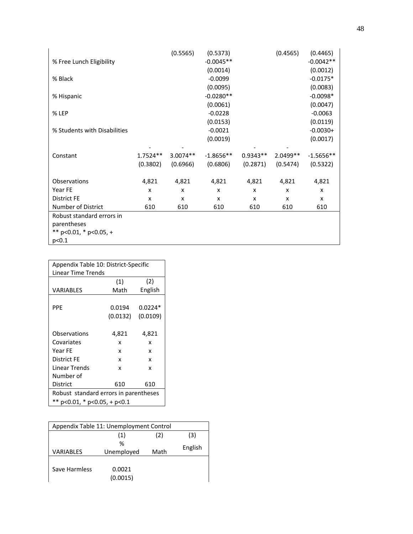| % Free Lunch Eligibility<br>% Black<br>% Hispanic |            | (0.5565)   | (0.5373)<br>$-0.0045**$<br>(0.0014)<br>$-0.0099$<br>(0.0095)<br>$-0.0280**$<br>(0.0061) |            | (0.4565) | (0.4465)<br>$-0.0042**$<br>(0.0012)<br>$-0.0175*$<br>(0.0083)<br>$-0.0098*$<br>(0.0047) |
|---------------------------------------------------|------------|------------|-----------------------------------------------------------------------------------------|------------|----------|-----------------------------------------------------------------------------------------|
| % LEP                                             |            |            | $-0.0228$                                                                               |            |          | $-0.0063$                                                                               |
|                                                   |            |            | (0.0153)                                                                                |            |          | (0.0119)                                                                                |
| % Students with Disabilities                      |            |            | $-0.0021$                                                                               |            |          | $-0.0030+$                                                                              |
|                                                   |            |            | (0.0019)                                                                                |            |          | (0.0017)                                                                                |
|                                                   |            |            |                                                                                         |            |          |                                                                                         |
| Constant                                          | $1.7524**$ | $3.0074**$ | $-1.8656**$                                                                             | $0.9343**$ | 2.0499** | $-1.5656**$                                                                             |
|                                                   | (0.3802)   | (0.6966)   | (0.6806)                                                                                | (0.2871)   | (0.5474) | (0.5322)                                                                                |
|                                                   |            |            |                                                                                         |            |          |                                                                                         |
| Observations                                      | 4,821      | 4,821      | 4,821                                                                                   | 4,821      | 4,821    | 4,821                                                                                   |
| Year FE                                           | X          | X          | x                                                                                       | x          | X        | $\mathsf{x}$                                                                            |
| District FE                                       | X          | x          | x                                                                                       | X          | X        | x                                                                                       |
| Number of District                                | 610        | 610        | 610                                                                                     | 610        | 610      | 610                                                                                     |
| Robust standard errors in                         |            |            |                                                                                         |            |          |                                                                                         |
| parentheses                                       |            |            |                                                                                         |            |          |                                                                                         |
| ** $p<0.01$ , * $p<0.05$ , +                      |            |            |                                                                                         |            |          |                                                                                         |
| p<0.1                                             |            |            |                                                                                         |            |          |                                                                                         |

| Appendix Table 10: District-Specific  |          |           |  |  |  |
|---------------------------------------|----------|-----------|--|--|--|
| Linear Time Trends                    |          |           |  |  |  |
|                                       | (1)      | (2)       |  |  |  |
| VARIABLES                             | Math     | English   |  |  |  |
|                                       |          |           |  |  |  |
| <b>PPF</b>                            | 0.0194   | $0.0224*$ |  |  |  |
|                                       | (0.0132) | (0.0109)  |  |  |  |
|                                       |          |           |  |  |  |
| Observations                          | 4,821    | 4,821     |  |  |  |
| Covariates                            | x        | x         |  |  |  |
| Year FF                               | x        | x         |  |  |  |
| <b>District FE</b>                    | x        | x         |  |  |  |
| Linear Trends                         | x        | x         |  |  |  |
| Number of                             |          |           |  |  |  |
| 610<br>District<br>610                |          |           |  |  |  |
| Robust standard errors in parentheses |          |           |  |  |  |
| ** $p<0.01$ , * $p<0.05$ , + $p<0.1$  |          |           |  |  |  |

| Appendix Table 11: Unemployment Control |                    |  |         |  |  |
|-----------------------------------------|--------------------|--|---------|--|--|
|                                         | (1)<br>(2)         |  |         |  |  |
|                                         | %                  |  |         |  |  |
| <b>VARIABLES</b>                        | Unemployed<br>Math |  | English |  |  |
|                                         |                    |  |         |  |  |
| Save Harmless                           | 0.0021             |  |         |  |  |
|                                         | (0.0015)           |  |         |  |  |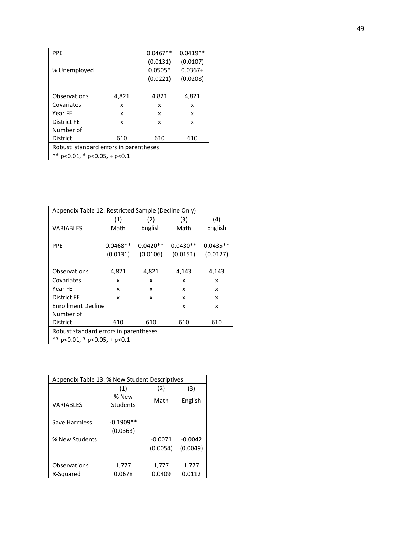| <b>PPF</b>                            |       | $0.0467**$ | $0.0419**$ |
|---------------------------------------|-------|------------|------------|
|                                       |       | (0.0131)   | (0.0107)   |
| % Unemployed                          |       | $0.0505*$  | $0.0367+$  |
|                                       |       | (0.0221)   | (0.0208)   |
|                                       |       |            |            |
| Observations                          | 4,821 | 4,821      | 4,821      |
| Covariates                            | x     | x          | x          |
| Year FE                               | x     | x          | x          |
| <b>District FE</b>                    | x     | x          | x          |
| Number of                             |       |            |            |
| <b>District</b>                       | 610   | 610        | 610        |
| Robust standard errors in parentheses |       |            |            |
| ** $p<0.01$ , * $p<0.05$ , + $p<0.1$  |       |            |            |

| Appendix Table 12: Restricted Sample (Decline Only) |            |            |            |            |
|-----------------------------------------------------|------------|------------|------------|------------|
|                                                     | (1)        | (2)        | (3)        | (4)        |
| VARIABLES                                           | Math       | English    | Math       | English    |
|                                                     |            |            |            |            |
| <b>PPE</b>                                          | $0.0468**$ | $0.0420**$ | $0.0430**$ | $0.0435**$ |
|                                                     | (0.0131)   | (0.0106)   | (0.0151)   | (0.0127)   |
|                                                     |            |            |            |            |
| Observations                                        | 4,821      | 4,821      | 4,143      | 4,143      |
| Covariates                                          | x          | x          | x          | x          |
| Year FE                                             | x          | x          | x          | x          |
| District FE                                         | x          | x          | x          | x          |
| <b>Enrollment Decline</b>                           |            |            | x          | x          |
| Number of                                           |            |            |            |            |
| <b>District</b>                                     | 610        | 610        | 610        | 610        |
| Robust standard errors in parentheses               |            |            |            |            |
| ** $p<0.01$ , * $p<0.05$ , + $p<0.1$                |            |            |            |            |

| Appendix Table 13: % New Student Descriptives |                   |           |           |  |  |  |
|-----------------------------------------------|-------------------|-----------|-----------|--|--|--|
|                                               | (2)<br>(1)<br>(3) |           |           |  |  |  |
|                                               | % New             | Math      |           |  |  |  |
| VARIABLES                                     | Students          |           | English   |  |  |  |
|                                               |                   |           |           |  |  |  |
| Save Harmless                                 | $-0.1909**$       |           |           |  |  |  |
|                                               | (0.0363)          |           |           |  |  |  |
| % New Students                                |                   | $-0.0071$ | $-0.0042$ |  |  |  |
|                                               |                   | (0.0054)  | (0.0049)  |  |  |  |
|                                               |                   |           |           |  |  |  |
| Observations                                  | 1,777             | 1,777     | 1,777     |  |  |  |
| R-Squared                                     | 0.0678            | 0.0409    | 0.0112    |  |  |  |